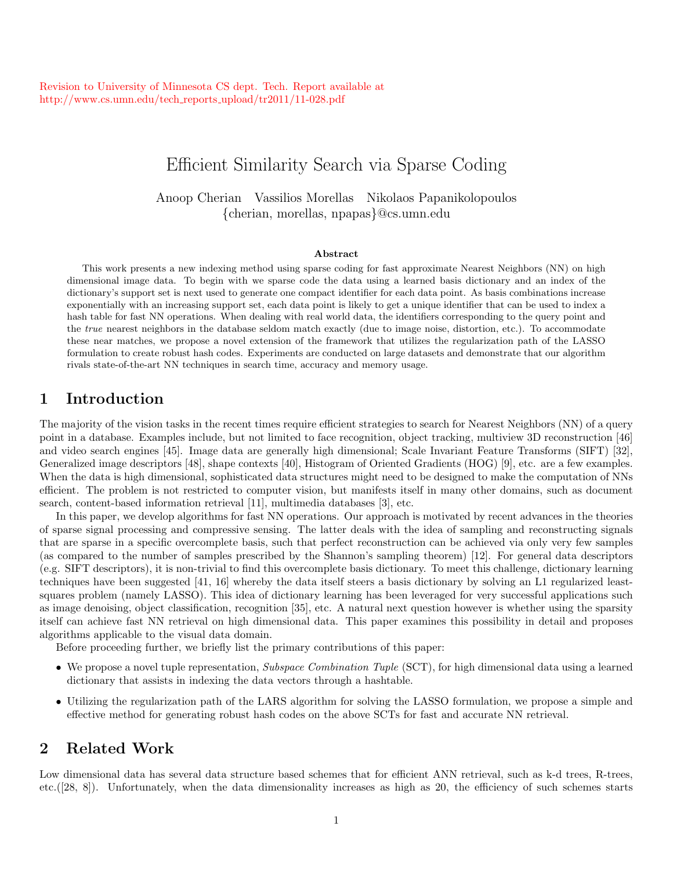# Efficient Similarity Search via Sparse Coding

Anoop Cherian Vassilios Morellas Nikolaos Papanikolopoulos {cherian, morellas, npapas}@cs.umn.edu

#### Abstract

This work presents a new indexing method using sparse coding for fast approximate Nearest Neighbors (NN) on high dimensional image data. To begin with we sparse code the data using a learned basis dictionary and an index of the dictionary's support set is next used to generate one compact identifier for each data point. As basis combinations increase exponentially with an increasing support set, each data point is likely to get a unique identifier that can be used to index a hash table for fast NN operations. When dealing with real world data, the identifiers corresponding to the query point and the *true* nearest neighbors in the database seldom match exactly (due to image noise, distortion, etc.). To accommodate these near matches, we propose a novel extension of the framework that utilizes the regularization path of the LASSO formulation to create robust hash codes. Experiments are conducted on large datasets and demonstrate that our algorithm rivals state-of-the-art NN techniques in search time, accuracy and memory usage.

## 1 Introduction

The majority of the vision tasks in the recent times require efficient strategies to search for Nearest Neighbors (NN) of a query point in a database. Examples include, but not limited to face recognition, object tracking, multiview 3D reconstruction [46] and video search engines [45]. Image data are generally high dimensional; Scale Invariant Feature Transforms (SIFT) [32], Generalized image descriptors [48], shape contexts [40], Histogram of Oriented Gradients (HOG) [9], etc. are a few examples. When the data is high dimensional, sophisticated data structures might need to be designed to make the computation of NNs efficient. The problem is not restricted to computer vision, but manifests itself in many other domains, such as document search, content-based information retrieval [11], multimedia databases [3], etc.

In this paper, we develop algorithms for fast NN operations. Our approach is motivated by recent advances in the theories of sparse signal processing and compressive sensing. The latter deals with the idea of sampling and reconstructing signals that are sparse in a specific overcomplete basis, such that perfect reconstruction can be achieved via only very few samples (as compared to the number of samples prescribed by the Shannon's sampling theorem) [12]. For general data descriptors (e.g. SIFT descriptors), it is non-trivial to find this overcomplete basis dictionary. To meet this challenge, dictionary learning techniques have been suggested [41, 16] whereby the data itself steers a basis dictionary by solving an L1 regularized leastsquares problem (namely LASSO). This idea of dictionary learning has been leveraged for very successful applications such as image denoising, object classification, recognition [35], etc. A natural next question however is whether using the sparsity itself can achieve fast NN retrieval on high dimensional data. This paper examines this possibility in detail and proposes algorithms applicable to the visual data domain.

Before proceeding further, we briefly list the primary contributions of this paper:

- We propose a novel tuple representation, *Subspace Combination Tuple* (SCT), for high dimensional data using a learned dictionary that assists in indexing the data vectors through a hashtable.
- Utilizing the regularization path of the LARS algorithm for solving the LASSO formulation, we propose a simple and effective method for generating robust hash codes on the above SCTs for fast and accurate NN retrieval.

## 2 Related Work

Low dimensional data has several data structure based schemes that for efficient ANN retrieval, such as k-d trees, R-trees, etc.([28, 8]). Unfortunately, when the data dimensionality increases as high as 20, the efficiency of such schemes starts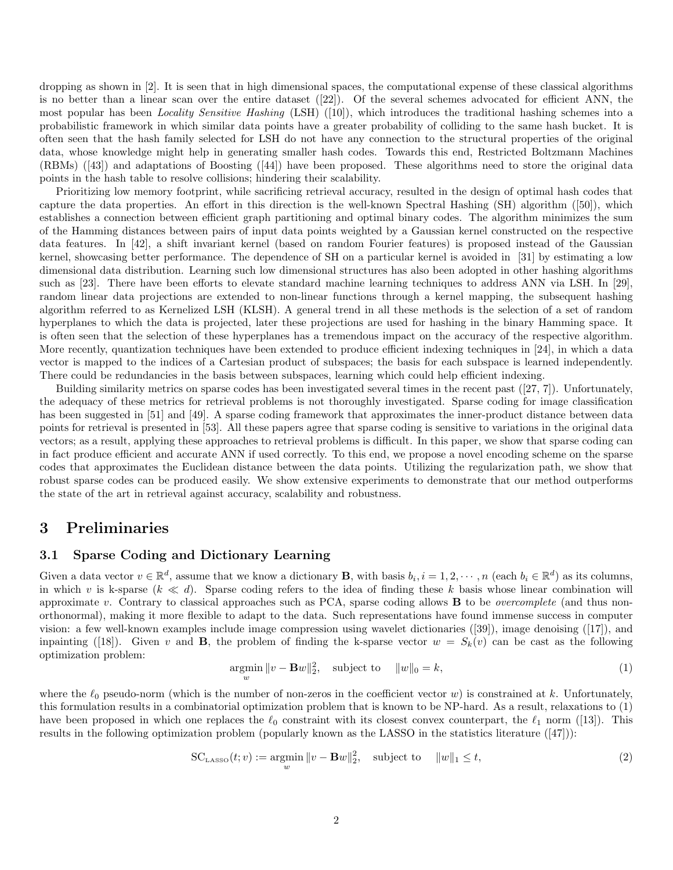dropping as shown in [2]. It is seen that in high dimensional spaces, the computational expense of these classical algorithms is no better than a linear scan over the entire dataset ([22]). Of the several schemes advocated for efficient ANN, the most popular has been *Locality Sensitive Hashing* (LSH) ([10]), which introduces the traditional hashing schemes into a probabilistic framework in which similar data points have a greater probability of colliding to the same hash bucket. It is often seen that the hash family selected for LSH do not have any connection to the structural properties of the original data, whose knowledge might help in generating smaller hash codes. Towards this end, Restricted Boltzmann Machines (RBMs) ([43]) and adaptations of Boosting ([44]) have been proposed. These algorithms need to store the original data points in the hash table to resolve collisions; hindering their scalability.

Prioritizing low memory footprint, while sacrificing retrieval accuracy, resulted in the design of optimal hash codes that capture the data properties. An effort in this direction is the well-known Spectral Hashing (SH) algorithm ([50]), which establishes a connection between efficient graph partitioning and optimal binary codes. The algorithm minimizes the sum of the Hamming distances between pairs of input data points weighted by a Gaussian kernel constructed on the respective data features. In [42], a shift invariant kernel (based on random Fourier features) is proposed instead of the Gaussian kernel, showcasing better performance. The dependence of SH on a particular kernel is avoided in [31] by estimating a low dimensional data distribution. Learning such low dimensional structures has also been adopted in other hashing algorithms such as [23]. There have been efforts to elevate standard machine learning techniques to address ANN via LSH. In [29], random linear data projections are extended to non-linear functions through a kernel mapping, the subsequent hashing algorithm referred to as Kernelized LSH (KLSH). A general trend in all these methods is the selection of a set of random hyperplanes to which the data is projected, later these projections are used for hashing in the binary Hamming space. It is often seen that the selection of these hyperplanes has a tremendous impact on the accuracy of the respective algorithm. More recently, quantization techniques have been extended to produce efficient indexing techniques in [24], in which a data vector is mapped to the indices of a Cartesian product of subspaces; the basis for each subspace is learned independently. There could be redundancies in the basis between subspaces, learning which could help efficient indexing.

Building similarity metrics on sparse codes has been investigated several times in the recent past ([27, 7]). Unfortunately, the adequacy of these metrics for retrieval problems is not thoroughly investigated. Sparse coding for image classification has been suggested in [51] and [49]. A sparse coding framework that approximates the inner-product distance between data points for retrieval is presented in [53]. All these papers agree that sparse coding is sensitive to variations in the original data vectors; as a result, applying these approaches to retrieval problems is difficult. In this paper, we show that sparse coding can in fact produce efficient and accurate ANN if used correctly. To this end, we propose a novel encoding scheme on the sparse codes that approximates the Euclidean distance between the data points. Utilizing the regularization path, we show that robust sparse codes can be produced easily. We show extensive experiments to demonstrate that our method outperforms the state of the art in retrieval against accuracy, scalability and robustness.

## 3 Preliminaries

### 3.1 Sparse Coding and Dictionary Learning

Given a data vector  $v \in \mathbb{R}^d$ , assume that we know a dictionary **B**, with basis  $b_i, i = 1, 2, \dots, n$  (each  $b_i \in \mathbb{R}^d$ ) as its columns, in which v is k-sparse  $(k \ll d)$ . Sparse coding refers to the idea of finding these k basis whose linear combination will approximate v. Contrary to classical approaches such as PCA, sparse coding allows B to be *overcomplete* (and thus nonorthonormal), making it more flexible to adapt to the data. Such representations have found immense success in computer vision: a few well-known examples include image compression using wavelet dictionaries ([39]), image denoising ([17]), and inpainting ([18]). Given v and **B**, the problem of finding the k-sparse vector  $w = S_k(v)$  can be cast as the following optimization problem:

$$
\underset{w}{\operatorname{argmin}} \|v - \mathbf{B}w\|_2^2, \quad \text{subject to} \quad \|w\|_0 = k,\tag{1}
$$

where the  $\ell_0$  pseudo-norm (which is the number of non-zeros in the coefficient vector w) is constrained at k. Unfortunately, this formulation results in a combinatorial optimization problem that is known to be NP-hard. As a result, relaxations to (1) have been proposed in which one replaces the  $\ell_0$  constraint with its closest convex counterpart, the  $\ell_1$  norm ([13]). This results in the following optimization problem (popularly known as the LASSO in the statistics literature ([47])):

$$
SC_{\text{LASSO}}(t; v) := \underset{w}{\text{argmin}} \|v - \mathbf{B}w\|_2^2, \quad \text{subject to} \quad \|w\|_1 \le t,\tag{2}
$$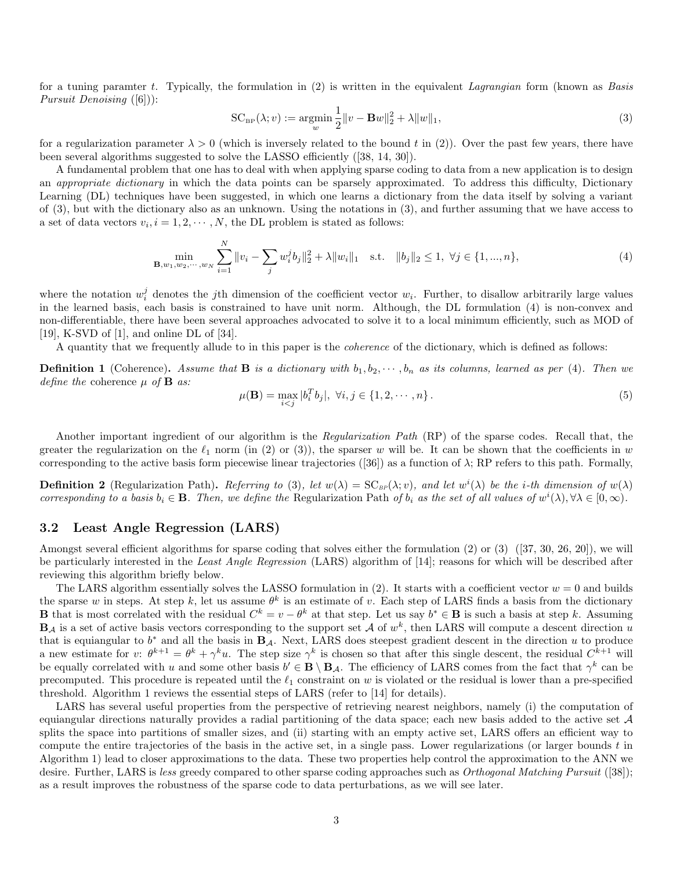for a tuning paramter t. Typically, the formulation in (2) is written in the equivalent *Lagrangian* form (known as *Basis Pursuit Denoising* ([6])):

$$
SC_{BP}(\lambda; v) := \underset{w}{\text{argmin}} \frac{1}{2} \|v - \mathbf{B}w\|_2^2 + \lambda \|w\|_1,
$$
\n(3)

for a regularization parameter  $\lambda > 0$  (which is inversely related to the bound t in (2)). Over the past few years, there have been several algorithms suggested to solve the LASSO efficiently ([38, 14, 30]).

A fundamental problem that one has to deal with when applying sparse coding to data from a new application is to design an *appropriate dictionary* in which the data points can be sparsely approximated. To address this difficulty, Dictionary Learning (DL) techniques have been suggested, in which one learns a dictionary from the data itself by solving a variant of (3), but with the dictionary also as an unknown. Using the notations in (3), and further assuming that we have access to a set of data vectors  $v_i, i = 1, 2, \dots, N$ , the DL problem is stated as follows:

$$
\min_{\mathbf{B}, w_1, w_2, \cdots, w_N} \sum_{i=1}^N \|v_i - \sum_j w_i^j b_j\|_2^2 + \lambda \|w_i\|_1 \quad \text{s.t.} \quad \|b_j\|_2 \le 1, \ \forall j \in \{1, ..., n\},\tag{4}
$$

where the notation  $w_i^j$  denotes the jth dimension of the coefficient vector  $w_i$ . Further, to disallow arbitrarily large values in the learned basis, each basis is constrained to have unit norm. Although, the DL formulation (4) is non-convex and non-differentiable, there have been several approaches advocated to solve it to a local minimum efficiently, such as MOD of [19], K-SVD of [1], and online DL of [34].

A quantity that we frequently allude to in this paper is the *coherence* of the dictionary, which is defined as follows:

**Definition 1** (Coherence). Assume that **B** is a dictionary with  $b_1, b_2, \dots, b_n$  as its columns, learned as per (4). Then we *define the* coherence µ *of* B *as:*

$$
\mu(\mathbf{B}) = \max_{i < j} |b_i^T b_j|, \ \forall i, j \in \{1, 2, \cdots, n\} \,. \tag{5}
$$

Another important ingredient of our algorithm is the *Regularization Path* (RP) of the sparse codes. Recall that, the greater the regularization on the  $\ell_1$  norm (in (2) or (3)), the sparser w will be. It can be shown that the coefficients in w corresponding to the active basis form piecewise linear trajectories ([36]) as a function of  $\lambda$ ; RP refers to this path. Formally,

**Definition 2** (Regularization Path). *Referring to* (3), let  $w(\lambda) = SC_{BP}(\lambda; v)$ , and let  $w^i(\lambda)$  be the *i*-th dimension of  $w(\lambda)$ *corresponding to a basis*  $b_i \in \mathbf{B}$ *. Then, we define the* Regularization Path *of*  $b_i$  *as the set of all values of*  $w^i(\lambda), \forall \lambda \in [0, \infty)$ *.* 

### 3.2 Least Angle Regression (LARS)

Amongst several efficient algorithms for sparse coding that solves either the formulation (2) or (3) ([37, 30, 26, 20]), we will be particularly interested in the *Least Angle Regression* (LARS) algorithm of [14]; reasons for which will be described after reviewing this algorithm briefly below.

The LARS algorithm essentially solves the LASSO formulation in (2). It starts with a coefficient vector  $w = 0$  and builds the sparse w in steps. At step k, let us assume  $\theta^k$  is an estimate of v. Each step of LARS finds a basis from the dictionary **B** that is most correlated with the residual  $C^k = v - \theta^k$  at that step. Let us say  $b^* \in \mathbf{B}$  is such a basis at step k. Assuming  $\mathbf{B}_{\mathcal{A}}$  is a set of active basis vectors corresponding to the support set  $\mathcal{A}$  of  $w^k$ , then LARS will compute a descent direction u that is equiangular to  $b^*$  and all the basis in  $B_A$ . Next, LARS does steepest gradient descent in the direction u to produce a new estimate for v:  $\theta^{k+1} = \theta^k + \gamma^k u$ . The step size  $\gamma^k$  is chosen so that after this single descent, the residual  $C^{k+1}$  will be equally correlated with u and some other basis  $b' \in \mathbf{B} \setminus \mathbf{B}_{\mathcal{A}}$ . The efficiency of LARS comes from the fact that  $\gamma^k$  can be precomputed. This procedure is repeated until the  $\ell_1$  constraint on w is violated or the residual is lower than a pre-specified threshold. Algorithm 1 reviews the essential steps of LARS (refer to [14] for details).

LARS has several useful properties from the perspective of retrieving nearest neighbors, namely (i) the computation of equiangular directions naturally provides a radial partitioning of the data space; each new basis added to the active set  $A$ splits the space into partitions of smaller sizes, and (ii) starting with an empty active set, LARS offers an efficient way to compute the entire trajectories of the basis in the active set, in a single pass. Lower regularizations (or larger bounds  $t$  in Algorithm 1) lead to closer approximations to the data. These two properties help control the approximation to the ANN we desire. Further, LARS is *less* greedy compared to other sparse coding approaches such as *Orthogonal Matching Pursuit* ([38]); as a result improves the robustness of the sparse code to data perturbations, as we will see later.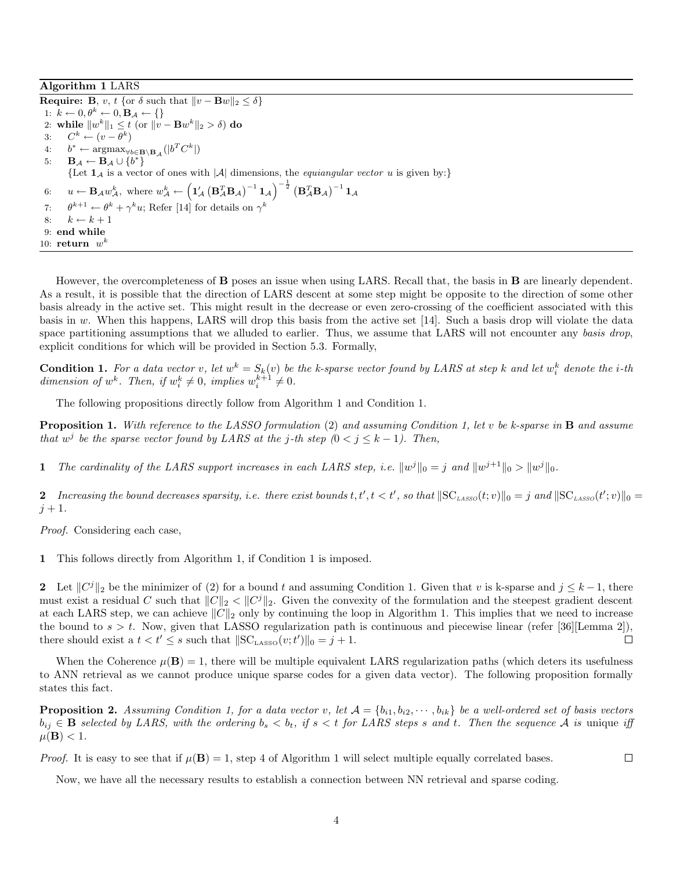Algorithm 1 LARS

**Require: B**, *v*, *t* {or  $\delta$  such that  $||v - \mathbf{B}w||_2 \le \delta$ } 1:  $k \leftarrow 0, \theta^k \leftarrow 0, \mathbf{B}_{\mathcal{A}} \leftarrow \{\}$ 2: while  $||w^k||_1 \le t$  (or  $||v - \mathbf{B}w^k||_2 > \delta$ ) do 3:  $C^k \leftarrow (v - \overline{\theta}^k)$  $4:$  $\mathbf{r}^* \leftarrow \mathop{\mathrm{argmax}}_{\forall b \in \mathbf{B} \setminus \mathbf{B}_{\mathcal{A}}}(|b^TC^k|)$ 5:  $\mathbf{B}_{\mathcal{A}} \leftarrow \mathbf{B}_{\mathcal{A}} \cup \{b^{\bar{*}}\}$ {Let  $1_A$  is a vector of ones with |A| dimensions, the *equiangular vector u* is given by:} 6:  $u \leftarrow \mathbf{B}_{\mathcal{A}} w_{\mathcal{A}}^k$ , where  $w_{\mathcal{A}}^k \leftarrow \left( \mathbf{1}_{\mathcal{A}}' \left( \mathbf{B}_{\mathcal{A}}^T \mathbf{B}_{\mathcal{A}} \right)^{-1} \mathbf{1}_{\mathcal{A}} \right)^{-\frac{1}{2}} \left( \mathbf{B}_{\mathcal{A}}^T \mathbf{B}_{\mathcal{A}} \right)^{-1} \mathbf{1}_{\mathcal{A}}$ 7:  $\theta^{k+1} \leftarrow \theta^k + \gamma^k u$ ; Refer [14] for details on  $\gamma^k$ 8:  $k \leftarrow k + 1$ 9: end while 10:  $return w^k$ 

However, the overcompleteness of B poses an issue when using LARS. Recall that, the basis in B are linearly dependent. As a result, it is possible that the direction of LARS descent at some step might be opposite to the direction of some other basis already in the active set. This might result in the decrease or even zero-crossing of the coefficient associated with this basis in w. When this happens, LARS will drop this basis from the active set [14]. Such a basis drop will violate the data space partitioning assumptions that we alluded to earlier. Thus, we assume that LARS will not encounter any *basis drop*, explicit conditions for which will be provided in Section 5.3. Formally,

**Condition 1.** For a data vector v, let  $w^k = S_k(v)$  be the k-sparse vector found by LARS at step k and let  $w_i^k$  denote the *i*-th dimension of  $w^k$ . Then, if  $w_i^k \neq 0$ , implies  $w_i^{k+1} \neq 0$ .

The following propositions directly follow from Algorithm 1 and Condition 1.

Proposition 1. *With reference to the LASSO formulation* (2) *and assuming Condition 1, let* v *be k-sparse in* B *and assume that*  $w^j$  be the sparse vector found by LARS at the j-th step  $(0 \lt j \leq k - 1)$ . Then,

1 The cardinality of the LARS support increases in each LARS step, i.e.  $||w^j||_0 = j$  and  $||w^{j+1}||_0 > ||w^j||_0$ .

2 Increasing the bound decreases sparsity, i.e. there exist bounds  $t, t', t < t'$ , so that  $\|SC_{LASSO}(t; v)\|_0 = j$  and  $\|SC_{LASSO}(t'; v)\|_0 = j$  $j + 1.$ 

*Proof.* Considering each case,

1 This follows directly from Algorithm 1, if Condition 1 is imposed.

2 Let  $||C^j||_2$  be the minimizer of (2) for a bound t and assuming Condition 1. Given that v is k-sparse and  $j \leq k-1$ , there must exist a residual C such that  $||C||_2 < ||C^j||_2$ . Given the convexity of the formulation and the steepest gradient descent at each LARS step, we can achieve  $||C||_2$  only by continuing the loop in Algorithm 1. This implies that we need to increase the bound to  $s > t$ . Now, given that LASSO regularization path is continuous and piecewise linear (refer [36][Lemma 2]), there should exist a  $t < t' \leq s$  such that  $||SC_{\text{LASSO}}(v; t')||_0 = j + 1$ .  $\Box$ 

When the Coherence  $\mu(\mathbf{B}) = 1$ , there will be multiple equivalent LARS regularization paths (which deters its usefulness to ANN retrieval as we cannot produce unique sparse codes for a given data vector). The following proposition formally states this fact.

**Proposition 2.** Assuming Condition 1, for a data vector v, let  $A = \{b_{i1}, b_{i2}, \dots, b_{ik}\}$  be a well-ordered set of basis vectors  $b_{ij} \in \mathbf{B}$  selected by LARS, with the ordering  $b_s < b_t$ , if  $s < t$  for LARS steps s and t. Then the sequence A is unique iff  $\mu(\mathbf{B}) < 1$ .

*Proof.* It is easy to see that if  $\mu(\mathbf{B}) = 1$ , step 4 of Algorithm 1 will select multiple equally correlated bases.

Now, we have all the necessary results to establish a connection between NN retrieval and sparse coding.

 $\Box$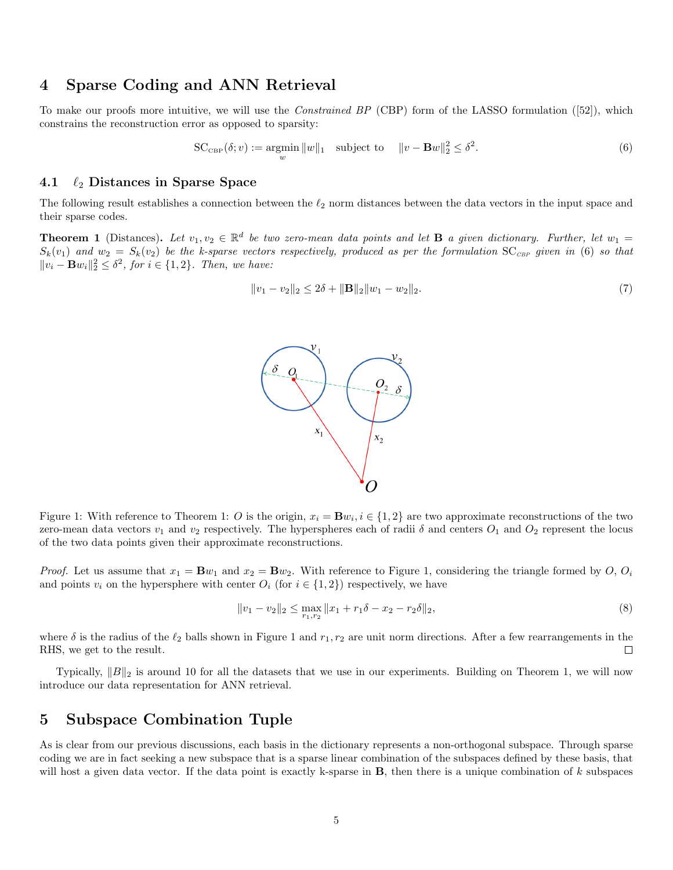## 4 Sparse Coding and ANN Retrieval

To make our proofs more intuitive, we will use the *Constrained BP* (CBP) form of the LASSO formulation ([52]), which constrains the reconstruction error as opposed to sparsity:

$$
SC_{CBP}(\delta; v) := \underset{w}{\operatorname{argmin}} \|w\|_1 \quad \text{subject to} \quad \|v - \mathbf{B}w\|_2^2 \le \delta^2. \tag{6}
$$

#### 4.1  $\ell_2$  Distances in Sparse Space

The following result establishes a connection between the  $\ell_2$  norm distances between the data vectors in the input space and their sparse codes.

**Theorem 1** (Distances). Let  $v_1, v_2 \in \mathbb{R}^d$  be two zero-mean data points and let **B** a given dictionary. Further, let  $w_1 =$  $S_k(v_1)$  and  $w_2 = S_k(v_2)$  be the k-sparse vectors respectively, produced as per the formulation  $SC_{CBP}$  given in (6) so that  $||v_i - \mathbf{B}w_i||_2^2 ≤ δ^2$ , for  $i ∈ {1, 2}$ *. Then, we have:* 

$$
||v_1 - v_2||_2 \le 2\delta + ||\mathbf{B}||_2 ||w_1 - w_2||_2. \tag{7}
$$



Figure 1: With reference to Theorem 1: O is the origin,  $x_i = Bw_i, i \in \{1, 2\}$  are two approximate reconstructions of the two zero-mean data vectors  $v_1$  and  $v_2$  respectively. The hyperspheres each of radii  $\delta$  and centers  $O_1$  and  $O_2$  represent the locus of the two data points given their approximate reconstructions.

*Proof.* Let us assume that  $x_1 = \mathbf{B}w_1$  and  $x_2 = \mathbf{B}w_2$ . With reference to Figure 1, considering the triangle formed by O,  $O_i$ and points  $v_i$  on the hypersphere with center  $O_i$  (for  $i \in \{1,2\}$ ) respectively, we have

$$
||v_1 - v_2||_2 \le \max_{r_1, r_2} ||x_1 + r_1 \delta - x_2 - r_2 \delta||_2,
$$
\n(8)

where  $\delta$  is the radius of the  $\ell_2$  balls shown in Figure 1 and  $r_1, r_2$  are unit norm directions. After a few rearrangements in the RHS, we get to the result.  $\Box$ 

Typically,  $||B||_2$  is around 10 for all the datasets that we use in our experiments. Building on Theorem 1, we will now introduce our data representation for ANN retrieval.

## 5 Subspace Combination Tuple

As is clear from our previous discussions, each basis in the dictionary represents a non-orthogonal subspace. Through sparse coding we are in fact seeking a new subspace that is a sparse linear combination of the subspaces defined by these basis, that will host a given data vector. If the data point is exactly k-sparse in  $B$ , then there is a unique combination of k subspaces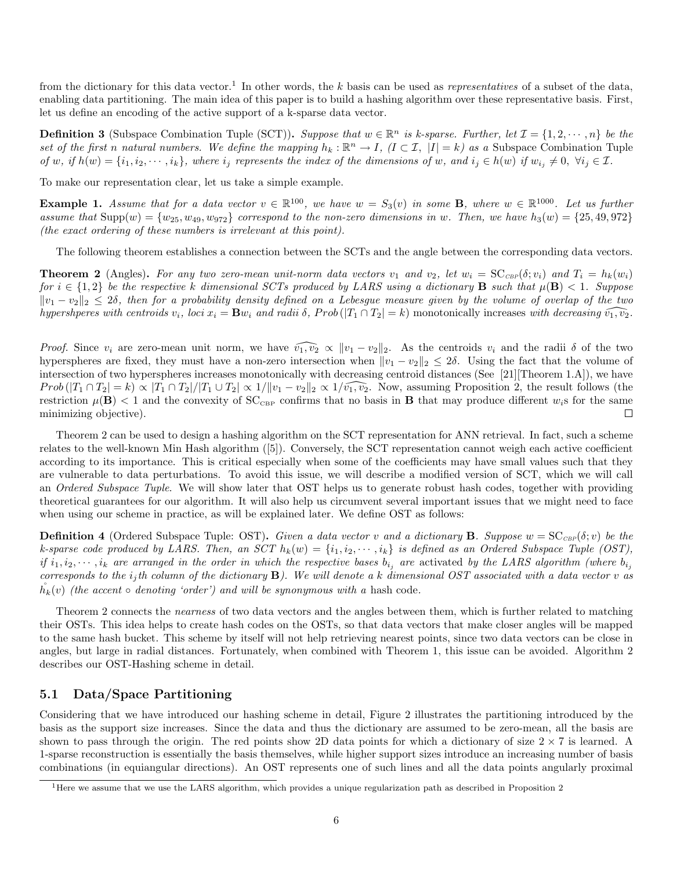from the dictionary for this data vector.<sup>1</sup> In other words, the k basis can be used as *representatives* of a subset of the data, enabling data partitioning. The main idea of this paper is to build a hashing algorithm over these representative basis. First, let us define an encoding of the active support of a k-sparse data vector.

**Definition 3** (Subspace Combination Tuple (SCT)). Suppose that  $w \in \mathbb{R}^n$  is k-sparse. Further, let  $\mathcal{I} = \{1, 2, \dots, n\}$  be the set of the first *n* natural numbers. We define the mapping  $h_k : \mathbb{R}^n \to I$ ,  $(I \subset \mathcal{I}, |I| = k)$  as a Subspace Combination Tuple *of* w, if  $h(w) = \{i_1, i_2, \dots, i_k\}$ , where  $i_j$  represents the index of the dimensions of w, and  $i_j \in h(w)$  if  $w_{i_j} \neq 0$ ,  $\forall i_j \in \mathcal{I}$ .

To make our representation clear, let us take a simple example.

**Example 1.** Assume that for a data vector  $v \in \mathbb{R}^{100}$ , we have  $w = S_3(v)$  in some **B**, where  $w \in \mathbb{R}^{1000}$ . Let us further *assume that*  $\text{Supp}(w) = \{w_{25}, w_{49}, w_{972}\}$  *correspond to the non-zero dimensions in* w. Then, we have  $h_3(w) = \{25, 49, 972\}$ *(the exact ordering of these numbers is irrelevant at this point).*

The following theorem establishes a connection between the SCTs and the angle between the corresponding data vectors.

**Theorem 2** (Angles). For any two zero-mean unit-norm data vectors  $v_1$  and  $v_2$ , let  $w_i = \mathrm{SC}_{\mathit{CBF}}(\delta; v_i)$  and  $T_i = h_k(w_i)$ *for*  $i \in \{1,2\}$  *be the respective* k dimensional SCTs produced by LARS using a dictionary **B** such that  $\mu(\mathbf{B}) < 1$ . Suppose  $||v_1 - v_2||_2 \leq 2\delta$ , then for a probability density defined on a Lebesgue measure given by the volume of overlap of the two *hypershperes with centroids*  $v_i$ , *loci*  $x_i = \mathbf{B} w_i$  *and radii*  $\delta$ ,  $Prob(|T_1 \cap T_2| = k)$  monotonically increases with decreasing  $\widehat{v_1, v_2}$ .

*Proof.* Since  $v_i$  are zero-mean unit norm, we have  $\widehat{v_1, v_2} \propto ||v_1 - v_2||_2$ . As the centroids  $v_i$  and the radii  $\delta$  of the two hyperspheres are fixed, they must have a non-zero intersection when  $||v_1 - v_2||_2 \leq 2\delta$ . Using the fact that the volume of intersection of two hyperspheres increases monotonically with decreasing centroid distances (See [21][Theorem 1.A]), we have  $Prob(|T_1 \cap T_2| = k) \propto |T_1 \cap T_2|/|T_1 \cup T_2| \propto 1/|v_1 - v_2||_2 \propto 1/\widehat{v_1, v_2}$ . Now, assuming Proposition 2, the result follows (the restriction  $\mu(\mathbf{B}) < 1$  and the convexity of SC<sub>CBP</sub> confirms that no basis in **B** that may produce different  $w_i$ s for the same minimizing objective).  $\Box$ 

Theorem 2 can be used to design a hashing algorithm on the SCT representation for ANN retrieval. In fact, such a scheme relates to the well-known Min Hash algorithm ([5]). Conversely, the SCT representation cannot weigh each active coefficient according to its importance. This is critical especially when some of the coefficients may have small values such that they are vulnerable to data perturbations. To avoid this issue, we will describe a modified version of SCT, which we will call an *Ordered Subspace Tuple*. We will show later that OST helps us to generate robust hash codes, together with providing theoretical guarantees for our algorithm. It will also help us circumvent several important issues that we might need to face when using our scheme in practice, as will be explained later. We define OST as follows:

**Definition 4** (Ordered Subspace Tuple: OST). Given a data vector v and a dictionary **B**. Suppose  $w = \mathrm{SC}_{\mathbb{GP}}(\delta; v)$  be the *k*-sparse code produced by LARS. Then, an SCT  $h_k(w) = \{i_1, i_2, \dots, i_k\}$  is defined as an Ordered Subspace Tuple (OST), *if*  $i_1, i_2, \dots, i_k$  are arranged in the order in which the respective bases  $b_{i_j}$  are activated by the LARS algorithm (where  $b_{i_j}$ *corresponds to the*  $i_j$ *th column of the dictionary*  $\bf{B}$ *). We will denote a* k *dimensional OST associated with a data vector* v *as*  $\tilde{h}_k(v)$  *(the accent*  $\circ$  *denoting 'order') and will be synonymous with a* hash code.

Theorem 2 connects the *nearness* of two data vectors and the angles between them, which is further related to matching their OSTs. This idea helps to create hash codes on the OSTs, so that data vectors that make closer angles will be mapped to the same hash bucket. This scheme by itself will not help retrieving nearest points, since two data vectors can be close in angles, but large in radial distances. Fortunately, when combined with Theorem 1, this issue can be avoided. Algorithm 2 describes our OST-Hashing scheme in detail.

### 5.1 Data/Space Partitioning

Considering that we have introduced our hashing scheme in detail, Figure 2 illustrates the partitioning introduced by the basis as the support size increases. Since the data and thus the dictionary are assumed to be zero-mean, all the basis are shown to pass through the origin. The red points show 2D data points for which a dictionary of size  $2 \times 7$  is learned. A 1-sparse reconstruction is essentially the basis themselves, while higher support sizes introduce an increasing number of basis combinations (in equiangular directions). An OST represents one of such lines and all the data points angularly proximal

 $<sup>1</sup>$  Here we assume that we use the LARS algorithm, which provides a unique regularization path as described in Proposition 2</sup>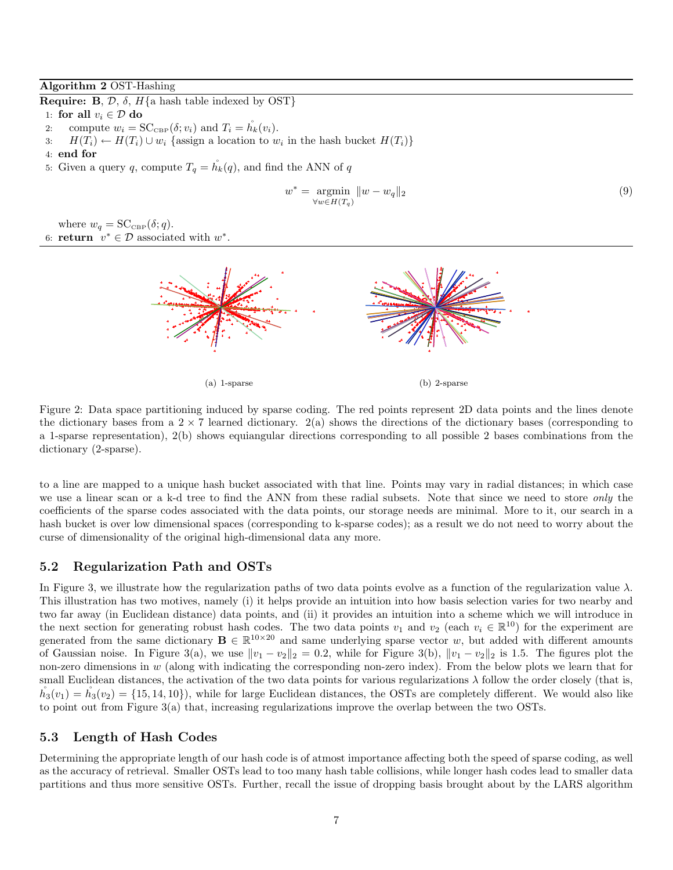#### Algorithm 2 OST-Hashing

**Require: B**,  $\mathcal{D}$ ,  $\delta$ ,  $H\{\text{a hash table indexed by OST}\}$ 

- 1: for all  $v_i \in \mathcal{D}$  do
- 2: compute  $w_i = \mathrm{SC}_{\mathrm{CBP}}(\delta; v_i)$  and  $T_i = \check{h}_k(v_i)$ .

3:  $H(T_i) \leftarrow H(T_i) \cup w_i$  {assign a location to  $w_i$  in the hash bucket  $H(T_i)$ }

.

- 4: end for
- 5: Given a query q, compute  $T_q = h_k(q)$ , and find the ANN of q

$$
w^* = \underset{\forall w \in H(T_q)}{\text{argmin}} ||w - w_q||_2 \tag{9}
$$

where  $w_q = \mathrm{SC}_{\mathrm{CBP}}(\delta; q)$ . 6: **return**  $v^* \in \mathcal{D}$  associated with  $w^*$ 



Figure 2: Data space partitioning induced by sparse coding. The red points represent 2D data points and the lines denote the dictionary bases from a  $2 \times 7$  learned dictionary.  $2(a)$  shows the directions of the dictionary bases (corresponding to a 1-sparse representation), 2(b) shows equiangular directions corresponding to all possible 2 bases combinations from the dictionary (2-sparse).

to a line are mapped to a unique hash bucket associated with that line. Points may vary in radial distances; in which case we use a linear scan or a k-d tree to find the ANN from these radial subsets. Note that since we need to store *only* the coefficients of the sparse codes associated with the data points, our storage needs are minimal. More to it, our search in a hash bucket is over low dimensional spaces (corresponding to k-sparse codes); as a result we do not need to worry about the curse of dimensionality of the original high-dimensional data any more.

### 5.2 Regularization Path and OSTs

In Figure 3, we illustrate how the regularization paths of two data points evolve as a function of the regularization value  $\lambda$ . This illustration has two motives, namely (i) it helps provide an intuition into how basis selection varies for two nearby and two far away (in Euclidean distance) data points, and (ii) it provides an intuition into a scheme which we will introduce in the next section for generating robust hash codes. The two data points  $v_1$  and  $v_2$  (each  $v_i \in \mathbb{R}^{10}$ ) for the experiment are generated from the same dictionary  $\mathbf{B} \in \mathbb{R}^{10 \times 20}$  and same underlying sparse vector w, but added with different amounts of Gaussian noise. In Figure 3(a), we use  $||v_1 - v_2||_2 = 0.2$ , while for Figure 3(b),  $||v_1 - v_2||_2$  is 1.5. The figures plot the non-zero dimensions in  $w$  (along with indicating the corresponding non-zero index). From the below plots we learn that for small Euclidean distances, the activation of the two data points for various regularizations  $\lambda$  follow the order closely (that is,  $h_3(v_1) = h_3(v_2) = \{15, 14, 10\}$ , while for large Euclidean distances, the OSTs are completely different. We would also like to point out from Figure 3(a) that, increasing regularizations improve the overlap between the two OSTs.

### 5.3 Length of Hash Codes

Determining the appropriate length of our hash code is of atmost importance affecting both the speed of sparse coding, as well as the accuracy of retrieval. Smaller OSTs lead to too many hash table collisions, while longer hash codes lead to smaller data partitions and thus more sensitive OSTs. Further, recall the issue of dropping basis brought about by the LARS algorithm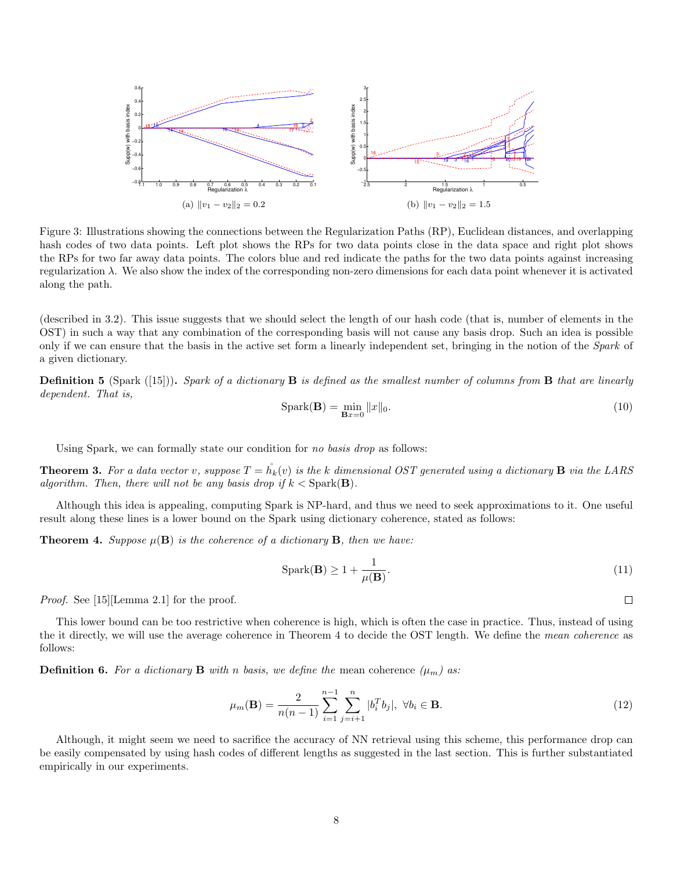

Figure 3: Illustrations showing the connections between the Regularization Paths (RP), Euclidean distances, and overlapping hash codes of two data points. Left plot shows the RPs for two data points close in the data space and right plot shows the RPs for two far away data points. The colors blue and red indicate the paths for the two data points against increasing regularization λ. We also show the index of the corresponding non-zero dimensions for each data point whenever it is activated along the path.

(described in 3.2). This issue suggests that we should select the length of our hash code (that is, number of elements in the OST) in such a way that any combination of the corresponding basis will not cause any basis drop. Such an idea is possible only if we can ensure that the basis in the active set form a linearly independent set, bringing in the notion of the *Spark* of a given dictionary.

Definition 5 (Spark ([15])). *Spark of a dictionary* B *is defined as the smallest number of columns from* B *that are linearly dependent. That is,*

$$
Spark(\mathbf{B}) = \min_{\mathbf{B}x=0} ||x||_0.
$$
 (10)

Using Spark, we can formally state our condition for *no basis drop* as follows:

**Theorem 3.** For a data vector v, suppose  $T = h_k(v)$  is the k dimensional OST generated using a dictionary **B** via the LARS *algorithm. Then, there will not be any basis drop if*  $k <$  Spark(**B**).

Although this idea is appealing, computing Spark is NP-hard, and thus we need to seek approximations to it. One useful result along these lines is a lower bound on the Spark using dictionary coherence, stated as follows:

**Theorem 4.** Suppose  $\mu(B)$  is the coherence of a dictionary B, then we have:

$$
Spark(\mathbf{B}) \ge 1 + \frac{1}{\mu(\mathbf{B})}.\tag{11}
$$

*Proof.* See [15][Lemma 2.1] for the proof.

This lower bound can be too restrictive when coherence is high, which is often the case in practice. Thus, instead of using the it directly, we will use the average coherence in Theorem 4 to decide the OST length. We define the *mean coherence* as follows:

**Definition 6.** For a dictionary **B** with n basis, we define the mean coherence  $(\mu_m)$  as:

$$
\mu_m(\mathbf{B}) = \frac{2}{n(n-1)} \sum_{i=1}^{n-1} \sum_{j=i+1}^n |b_i^T b_j|, \ \forall b_i \in \mathbf{B}.
$$
 (12)

Although, it might seem we need to sacrifice the accuracy of NN retrieval using this scheme, this performance drop can be easily compensated by using hash codes of different lengths as suggested in the last section. This is further substantiated empirically in our experiments.

 $\Box$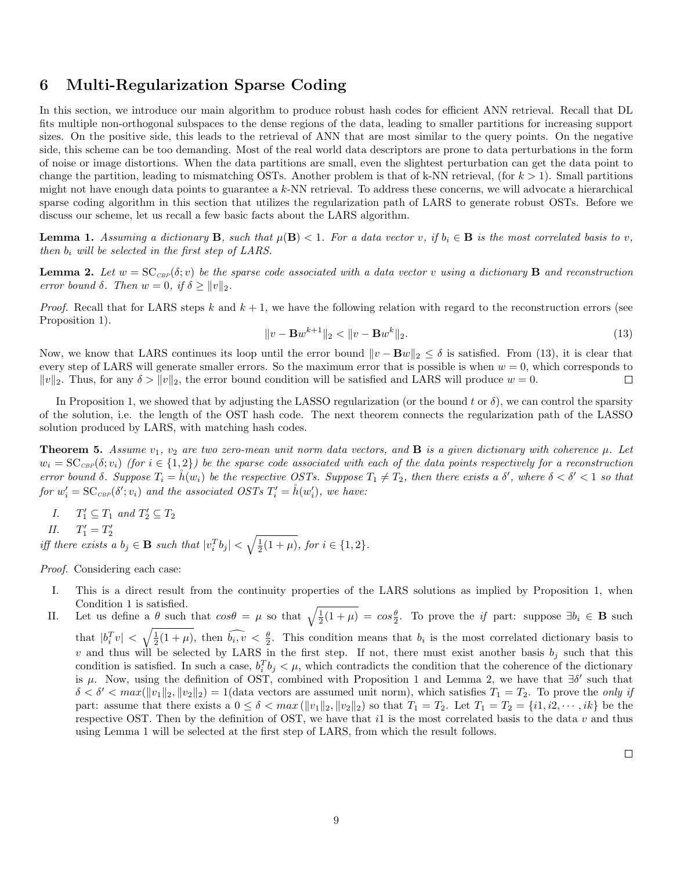## 6 Multi-Regularization Sparse Coding

In this section, we introduce our main algorithm to produce robust hash codes for efficient ANN retrieval. Recall that DL fits multiple non-orthogonal subspaces to the dense regions of the data, leading to smaller partitions for increasing support sizes. On the positive side, this leads to the retrieval of ANN that are most similar to the query points. On the negative side, this scheme can be too demanding. Most of the real world data descriptors are prone to data perturbations in the form of noise or image distortions. When the data partitions are small, even the slightest perturbation can get the data point to change the partition, leading to mismatching OSTs. Another problem is that of k-NN retrieval, (for  $k > 1$ ). Small partitions might not have enough data points to guarantee a  $k$ -NN retrieval. To address these concerns, we will advocate a hierarchical sparse coding algorithm in this section that utilizes the regularization path of LARS to generate robust OSTs. Before we discuss our scheme, let us recall a few basic facts about the LARS algorithm.

**Lemma 1.** Assuming a dictionary **B**, such that  $\mu(\mathbf{B}) < 1$ . For a data vector v, if  $b_i \in \mathbf{B}$  is the most correlated basis to v, *then* b<sup>i</sup> *will be selected in the first step of LARS.*

**Lemma 2.** Let  $w = SC_{CBP}(\delta; v)$  be the sparse code associated with a data vector v using a dictionary **B** and reconstruction *error bound*  $\delta$ *. Then*  $w = 0$ *, if*  $\delta \ge ||v||_2$ *.* 

*Proof.* Recall that for LARS steps k and  $k + 1$ , we have the following relation with regard to the reconstruction errors (see Proposition 1).

$$
||v - \mathbf{B}w^{k+1}||_2 < ||v - \mathbf{B}w^k||_2.
$$
\n(13)

Now, we know that LARS continues its loop until the error bound  $\|v - \mathbf{B}w\|_2 \leq \delta$  is satisfied. From (13), it is clear that every step of LARS will generate smaller errors. So the maximum error that is possible is when  $w = 0$ , which corresponds to  $||v||_2$ . Thus, for any  $\delta > ||v||_2$ , the error bound condition will be satisfied and LARS will produce  $w = 0$ .  $\Box$ 

In Proposition 1, we showed that by adjusting the LASSO regularization (or the bound t or  $\delta$ ), we can control the sparsity of the solution, i.e. the length of the OST hash code. The next theorem connects the regularization path of the LASSO solution produced by LARS, with matching hash codes.

**Theorem 5.** Assume  $v_1$ ,  $v_2$  are two zero-mean unit norm data vectors, and **B** is a given dictionary with coherence  $\mu$ . Let  $w_i = \mathrm{SC}_{\mathit{CBP}}(\delta; v_i)$  (for  $i \in \{1,2\}$ ) be the sparse code associated with each of the data points respectively for a reconstruction *error bound*  $\delta$ . Suppose  $T_i = \mathring{h}(w_i)$  *be the respective OSTs. Suppose*  $T_1 \neq T_2$ , then there exists a  $\delta'$ , where  $\delta < \delta' < 1$  so that  $for w'_i = {\rm SC}_{\scriptscriptstyle CBP}(\delta';v_i)$  and the associated OSTs  $T'_i = \r{h}(w'_i)$ , we have:

- *I.*  $T'_1 \subseteq T_1$  *and*  $T'_2 \subseteq T_2$
- *II.*  $T'_1 = T'_2$

2 *iff there exists a*  $b_j \in \mathbf{B}$  *such that*  $|v_i^T b_j| < \sqrt{\frac{1}{2}(1 + \mu)}$ *, for*  $i \in \{1, 2\}$ *.* 

*Proof.* Considering each case:

- I. This is a direct result from the continuity properties of the LARS solutions as implied by Proposition 1, when Condition 1 is satisfied.
- II. Let us define a  $\theta$  such that  $cos\theta = \mu$  so that  $\sqrt{\frac{1}{2}(1+\mu)} = cos\frac{\theta}{2}$ . To prove the *if* part: suppose  $\exists b_i \in \mathbf{B}$  such that  $|b_i^T v| < \sqrt{\frac{1}{2}(1+\mu)}$ , then  $\widehat{b_i, v} < \frac{\theta}{2}$ . This condition means that  $b_i$  is the most correlated dictionary basis to v and thus will be selected by LARS in the first step. If not, there must exist another basis  $b_j$  such that this condition is satisfied. In such a case,  $b_i^T b_j < \mu$ , which contradicts the condition that the coherence of the dictionary is  $\mu$ . Now, using the definition of OST, combined with Proposition 1 and Lemma 2, we have that  $\exists \delta'$  such that  $\delta < \delta' < max(||v_1||_2, ||v_2||_2) = 1$  (data vectors are assumed unit norm), which satisfies  $T_1 = T_2$ . To prove the *only if* part: assume that there exists a  $0 \leq \delta < \max(\|v_1\|_2, \|v_2\|_2)$  so that  $T_1 = T_2$ . Let  $T_1 = T_2 = \{i1, i2, \cdots, ik\}$  be the respective OST. Then by the definition of OST, we have that i1 is the most correlated basis to the data  $v$  and thus using Lemma 1 will be selected at the first step of LARS, from which the result follows.

 $\Box$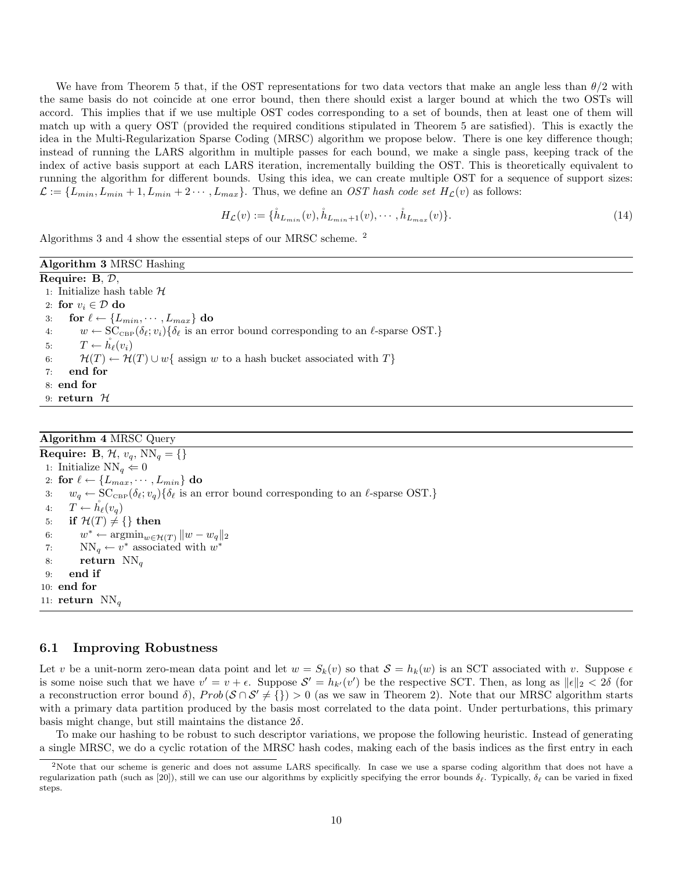We have from Theorem 5 that, if the OST representations for two data vectors that make an angle less than  $\theta/2$  with the same basis do not coincide at one error bound, then there should exist a larger bound at which the two OSTs will accord. This implies that if we use multiple OST codes corresponding to a set of bounds, then at least one of them will match up with a query OST (provided the required conditions stipulated in Theorem 5 are satisfied). This is exactly the idea in the Multi-Regularization Sparse Coding (MRSC) algorithm we propose below. There is one key difference though; instead of running the LARS algorithm in multiple passes for each bound, we make a single pass, keeping track of the index of active basis support at each LARS iteration, incrementally building the OST. This is theoretically equivalent to running the algorithm for different bounds. Using this idea, we can create multiple OST for a sequence of support sizes:  $\mathcal{L} := \{L_{min}, L_{min} + 1, L_{min} + 2 \cdots, L_{max}\}.$  Thus, we define an *OST hash code set*  $H_{\mathcal{L}}(v)$  as follows:

$$
H_{\mathcal{L}}(v) := \{\mathring{h}_{L_{min}}(v), \mathring{h}_{L_{min}+1}(v), \cdots, \mathring{h}_{L_{max}}(v)\}.
$$
\n(14)

Algorithms 3 and 4 show the essential steps of our MRSC scheme. <sup>2</sup>

Algorithm 3 MRSC Hashing Require: B, D, 1: Initialize hash table  $H$ 2: for  $v_i \in \mathcal{D}$  do 3: for  $\ell \leftarrow \{L_{min}, \cdots, L_{max}\}\;$  do 4:  $w \leftarrow \text{SC}_{\text{CBP}}(\delta_{\ell}; v_i) \{ \delta_{\ell} \text{ is an error bound corresponding to an } \ell\text{-sparse OST.} \}$ 5:  $T \leftarrow h_{\ell}(v_i)$ 6:  $\mathcal{H}(T) \leftarrow \mathcal{H}(T) \cup w$  { assign w to a hash bucket associated with T} 7: end for 8: end for 9: return  $H$ 

### Algorithm 4 MRSC Query

Require: B,  $\mathcal{H}$ ,  $v_q$ ,  $NN_q = \{\}$ 1: Initialize  $\mathrm{NN}_q \Leftarrow 0$ 2: for  $\ell \leftarrow \{L_{max}, \cdots, L_{min}\}$  do 3:  $w_q \leftarrow \text{SC}_{\text{CBP}}(\delta_\ell; v_q) \{ \delta_\ell \text{ is an error bound corresponding to an } \ell\text{-sparse OST.} \}$ 4:  $T \leftarrow \check{h}_{\ell}(v_q)$ 5: if  $\mathcal{H}(T) \neq \{\}\$  then 6:  $w^* \leftarrow \operatorname{argmin}_{w \in \mathcal{H}(T)} ||w - w_q||_2$ 7:  $NN_q \leftarrow v^*$  associated with  $w^*$ 8: return  $NN_q$ 9: end if 10: end for 11: return  $NN_a$ 

#### 6.1 Improving Robustness

Let v be a unit-norm zero-mean data point and let  $w = S_k(v)$  so that  $S = h_k(w)$  is an SCT associated with v. Suppose  $\epsilon$ is some noise such that we have  $v' = v + \epsilon$ . Suppose  $\mathcal{S}' = h_{k'}(v')$  be the respective SCT. Then, as long as  $||\epsilon||_2 < 2\delta$  (for a reconstruction error bound  $\delta$ ),  $Prob(\mathcal{S} \cap \mathcal{S}' \neq \{\}) > 0$  (as we saw in Theorem 2). Note that our MRSC algorithm starts with a primary data partition produced by the basis most correlated to the data point. Under perturbations, this primary basis might change, but still maintains the distance  $2\delta$ .

To make our hashing to be robust to such descriptor variations, we propose the following heuristic. Instead of generating a single MRSC, we do a cyclic rotation of the MRSC hash codes, making each of the basis indices as the first entry in each

<sup>&</sup>lt;sup>2</sup>Note that our scheme is generic and does not assume LARS specifically. In case we use a sparse coding algorithm that does not have a regularization path (such as [20]), still we can use our algorithms by explicitly specifying the error bounds  $\delta_{\ell}$ . Typically,  $\delta_{\ell}$  can be varied in fixed steps.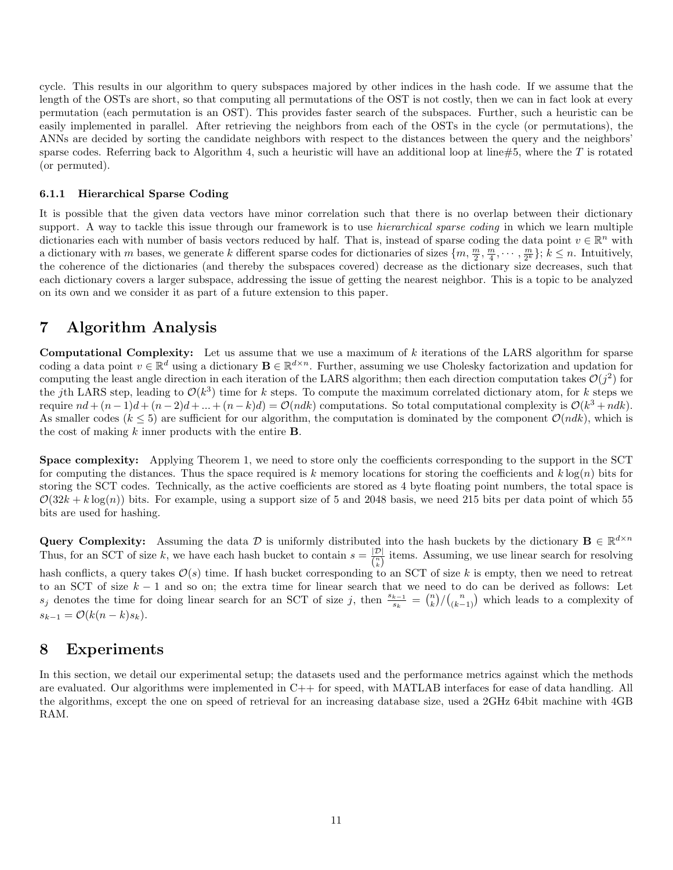cycle. This results in our algorithm to query subspaces majored by other indices in the hash code. If we assume that the length of the OSTs are short, so that computing all permutations of the OST is not costly, then we can in fact look at every permutation (each permutation is an OST). This provides faster search of the subspaces. Further, such a heuristic can be easily implemented in parallel. After retrieving the neighbors from each of the OSTs in the cycle (or permutations), the ANNs are decided by sorting the candidate neighbors with respect to the distances between the query and the neighbors' sparse codes. Referring back to Algorithm 4, such a heuristic will have an additional loop at line#5, where the  $T$  is rotated (or permuted).

#### 6.1.1 Hierarchical Sparse Coding

It is possible that the given data vectors have minor correlation such that there is no overlap between their dictionary support. A way to tackle this issue through our framework is to use *hierarchical sparse coding* in which we learn multiple dictionaries each with number of basis vectors reduced by half. That is, instead of sparse coding the data point  $v \in \mathbb{R}^n$  with a dictionary with m bases, we generate k different sparse codes for dictionaries of sizes  $\{m, \frac{m}{2}, \frac{m}{4}, \cdots, \frac{m}{2^k}\}; k \leq n$ . Intuitively, the coherence of the dictionaries (and thereby the subspaces covered) decrease as the dictionary size decreases, such that each dictionary covers a larger subspace, addressing the issue of getting the nearest neighbor. This is a topic to be analyzed on its own and we consider it as part of a future extension to this paper.

## 7 Algorithm Analysis

Computational Complexity: Let us assume that we use a maximum of k iterations of the LARS algorithm for sparse coding a data point  $v \in \mathbb{R}^d$  using a dictionary  $\mathbf{B} \in \mathbb{R}^{d \times n}$ . Further, assuming we use Cholesky factorization and updation for computing the least angle direction in each iteration of the LARS algorithm; then each direction computation takes  $\mathcal{O}(j^2)$  for the jth LARS step, leading to  $\mathcal{O}(k^3)$  time for k steps. To compute the maximum correlated dictionary atom, for k steps we require  $nd + (n-1)d + (n-2)d + ... + (n-k)d = \mathcal{O}(ndk)$  computations. So total computational complexity is  $\mathcal{O}(k^3 + ndk)$ . As smaller codes ( $k \le 5$ ) are sufficient for our algorithm, the computation is dominated by the component  $\mathcal{O}(ndk)$ , which is the cost of making  $k$  inner products with the entire **B**.

Space complexity: Applying Theorem 1, we need to store only the coefficients corresponding to the support in the SCT for computing the distances. Thus the space required is k memory locations for storing the coefficients and  $k \log(n)$  bits for storing the SCT codes. Technically, as the active coefficients are stored as 4 byte floating point numbers, the total space is  $\mathcal{O}(32k + k \log(n))$  bits. For example, using a support size of 5 and 2048 basis, we need 215 bits per data point of which 55 bits are used for hashing.

Query Complexity: Assuming the data  $\mathcal D$  is uniformly distributed into the hash buckets by the dictionary  $\mathbf B \in \mathbb R^{d \times n}$ Thus, for an SCT of size k, we have each hash bucket to contain  $s = \frac{|\mathcal{D}|}{n}$  $\frac{|\mathcal{D}|}{\binom{n}{k}}$  items. Assuming, we use linear search for resolving hash conflicts, a query takes  $\mathcal{O}(s)$  time. If hash bucket corresponding to an SCT of size k is empty, then we need to retreat

to an SCT of size  $k - 1$  and so on; the extra time for linear search that we need to do can be derived as follows: Let  $s_j$  denotes the time for doing linear search for an SCT of size j, then  $\frac{s_{k-1}}{s_k} = \binom{n}{k} / \binom{n}{(k-1)}$  which leads to a complexity of  $s_{k-1} = \mathcal{O}(k(n-k)s_k).$ 

## 8 Experiments

In this section, we detail our experimental setup; the datasets used and the performance metrics against which the methods are evaluated. Our algorithms were implemented in C++ for speed, with MATLAB interfaces for ease of data handling. All the algorithms, except the one on speed of retrieval for an increasing database size, used a 2GHz 64bit machine with 4GB RAM.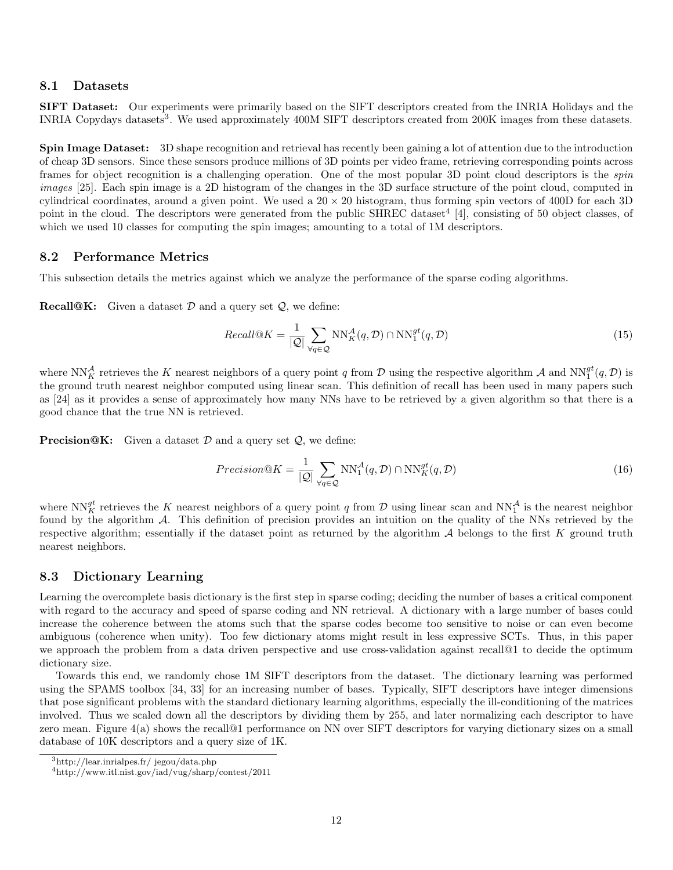#### 8.1 Datasets

SIFT Dataset: Our experiments were primarily based on the SIFT descriptors created from the INRIA Holidays and the INRIA Copydays datasets<sup>3</sup>. We used approximately 400M SIFT descriptors created from 200K images from these datasets.

Spin Image Dataset: 3D shape recognition and retrieval has recently been gaining a lot of attention due to the introduction of cheap 3D sensors. Since these sensors produce millions of 3D points per video frame, retrieving corresponding points across frames for object recognition is a challenging operation. One of the most popular 3D point cloud descriptors is the *spin images* [25]. Each spin image is a 2D histogram of the changes in the 3D surface structure of the point cloud, computed in cylindrical coordinates, around a given point. We used a  $20 \times 20$  histogram, thus forming spin vectors of 400D for each 3D point in the cloud. The descriptors were generated from the public SHREC dataset<sup>4</sup> [4], consisting of 50 object classes, of which we used 10 classes for computing the spin images; amounting to a total of 1M descriptors.

### 8.2 Performance Metrics

This subsection details the metrics against which we analyze the performance of the sparse coding algorithms.

**Recall@K:** Given a dataset  $D$  and a query set  $Q$ , we define:

$$
Recall@K = \frac{1}{|Q|} \sum_{\forall q \in Q} \text{NN}_K^A(q, \mathcal{D}) \cap \text{NN}_1^{gt}(q, \mathcal{D})
$$
\n
$$
\tag{15}
$$

where  $NN_K^{\mathcal{A}}$  retrieves the K nearest neighbors of a query point q from D using the respective algorithm  $\mathcal{A}$  and  $NN_1^{gt}(q, \mathcal{D})$  is the ground truth nearest neighbor computed using linear scan. This definition of recall has been used in many papers such as [24] as it provides a sense of approximately how many NNs have to be retrieved by a given algorithm so that there is a good chance that the true NN is retrieved.

**Precision@K:** Given a dataset  $D$  and a query set  $Q$ , we define:

$$
Precision@K = \frac{1}{|Q|} \sum_{\forall q \in Q} \text{NN}_1^{\mathcal{A}}(q, \mathcal{D}) \cap \text{NN}_K^{gt}(q, \mathcal{D})
$$
\n(16)

where  $NN_K^{\mathcal{g}t}$  retrieves the K nearest neighbors of a query point q from D using linear scan and  $NN_1^{\mathcal{A}}$  is the nearest neighbor found by the algorithm A. This definition of precision provides an intuition on the quality of the NNs retrieved by the respective algorithm; essentially if the dataset point as returned by the algorithm  $A$  belongs to the first  $K$  ground truth nearest neighbors.

### 8.3 Dictionary Learning

Learning the overcomplete basis dictionary is the first step in sparse coding; deciding the number of bases a critical component with regard to the accuracy and speed of sparse coding and NN retrieval. A dictionary with a large number of bases could increase the coherence between the atoms such that the sparse codes become too sensitive to noise or can even become ambiguous (coherence when unity). Too few dictionary atoms might result in less expressive SCTs. Thus, in this paper we approach the problem from a data driven perspective and use cross-validation against recall@1 to decide the optimum dictionary size.

Towards this end, we randomly chose 1M SIFT descriptors from the dataset. The dictionary learning was performed using the SPAMS toolbox [34, 33] for an increasing number of bases. Typically, SIFT descriptors have integer dimensions that pose significant problems with the standard dictionary learning algorithms, especially the ill-conditioning of the matrices involved. Thus we scaled down all the descriptors by dividing them by 255, and later normalizing each descriptor to have zero mean. Figure 4(a) shows the recall@1 performance on NN over SIFT descriptors for varying dictionary sizes on a small database of 10K descriptors and a query size of 1K.

<sup>3</sup>http://lear.inrialpes.fr/ jegou/data.php

 $^4$ http://www.itl.nist.gov/iad/vug/sharp/contest/2011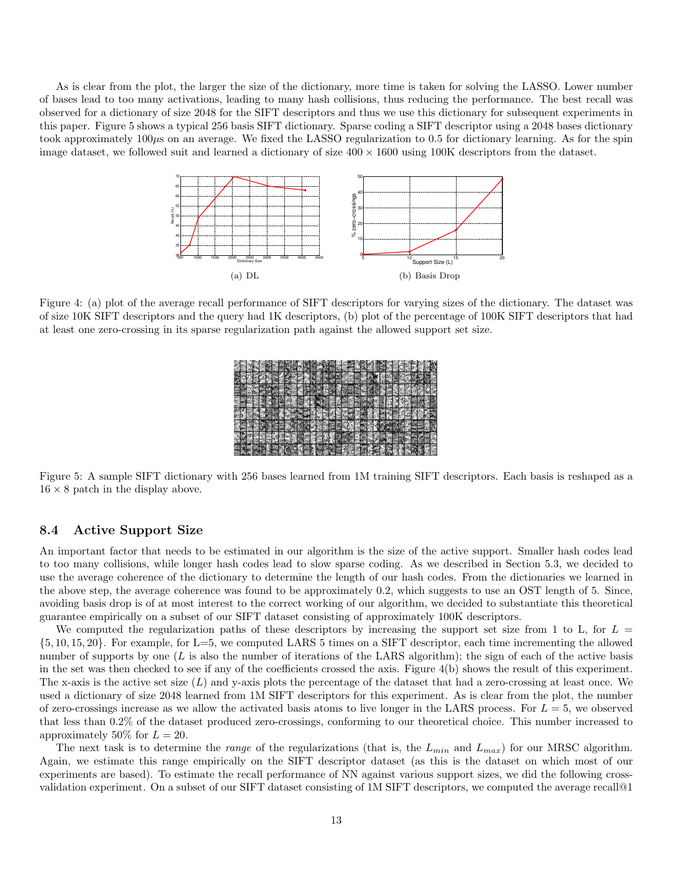As is clear from the plot, the larger the size of the dictionary, more time is taken for solving the LASSO. Lower number of bases lead to too many activations, leading to many hash collisions, thus reducing the performance. The best recall was observed for a dictionary of size 2048 for the SIFT descriptors and thus we use this dictionary for subsequent experiments in this paper. Figure 5 shows a typical 256 basis SIFT dictionary. Sparse coding a SIFT descriptor using a 2048 bases dictionary took approximately  $100\mu s$  on an average. We fixed the LASSO regularization to 0.5 for dictionary learning. As for the spin image dataset, we followed suit and learned a dictionary of size  $400 \times 1600$  using 100K descriptors from the dataset.



Figure 4: (a) plot of the average recall performance of SIFT descriptors for varying sizes of the dictionary. The dataset was of size 10K SIFT descriptors and the query had 1K descriptors, (b) plot of the percentage of 100K SIFT descriptors that had at least one zero-crossing in its sparse regularization path against the allowed support set size.

| ٩h                          |  |
|-----------------------------|--|
| m<br>۳                      |  |
|                             |  |
| m<br>y.<br>×<br>м<br>ᠴ      |  |
|                             |  |
| m<br>۰<br>öb<br>WEIN 2<br>ш |  |
| u<br>s<br>m.                |  |

Figure 5: A sample SIFT dictionary with 256 bases learned from 1M training SIFT descriptors. Each basis is reshaped as a  $16 \times 8$  patch in the display above.

### 8.4 Active Support Size

An important factor that needs to be estimated in our algorithm is the size of the active support. Smaller hash codes lead to too many collisions, while longer hash codes lead to slow sparse coding. As we described in Section 5.3, we decided to use the average coherence of the dictionary to determine the length of our hash codes. From the dictionaries we learned in the above step, the average coherence was found to be approximately 0.2, which suggests to use an OST length of 5. Since, avoiding basis drop is of at most interest to the correct working of our algorithm, we decided to substantiate this theoretical guarantee empirically on a subset of our SIFT dataset consisting of approximately 100K descriptors.

We computed the regularization paths of these descriptors by increasing the support set size from 1 to L, for  $L =$ {5, 10, 15, 20}. For example, for L=5, we computed LARS 5 times on a SIFT descriptor, each time incrementing the allowed number of supports by one  $(L$  is also the number of iterations of the LARS algorithm); the sign of each of the active basis in the set was then checked to see if any of the coefficients crossed the axis. Figure 4(b) shows the result of this experiment. The x-axis is the active set size  $(L)$  and y-axis plots the percentage of the dataset that had a zero-crossing at least once. We used a dictionary of size 2048 learned from 1M SIFT descriptors for this experiment. As is clear from the plot, the number of zero-crossings increase as we allow the activated basis atoms to live longer in the LARS process. For  $L = 5$ , we observed that less than 0.2% of the dataset produced zero-crossings, conforming to our theoretical choice. This number increased to approximately 50% for  $L = 20$ .

The next task is to determine the *range* of the regularizations (that is, the  $L_{min}$  and  $L_{max}$ ) for our MRSC algorithm. Again, we estimate this range empirically on the SIFT descriptor dataset (as this is the dataset on which most of our experiments are based). To estimate the recall performance of NN against various support sizes, we did the following crossvalidation experiment. On a subset of our SIFT dataset consisting of 1M SIFT descriptors, we computed the average recall@1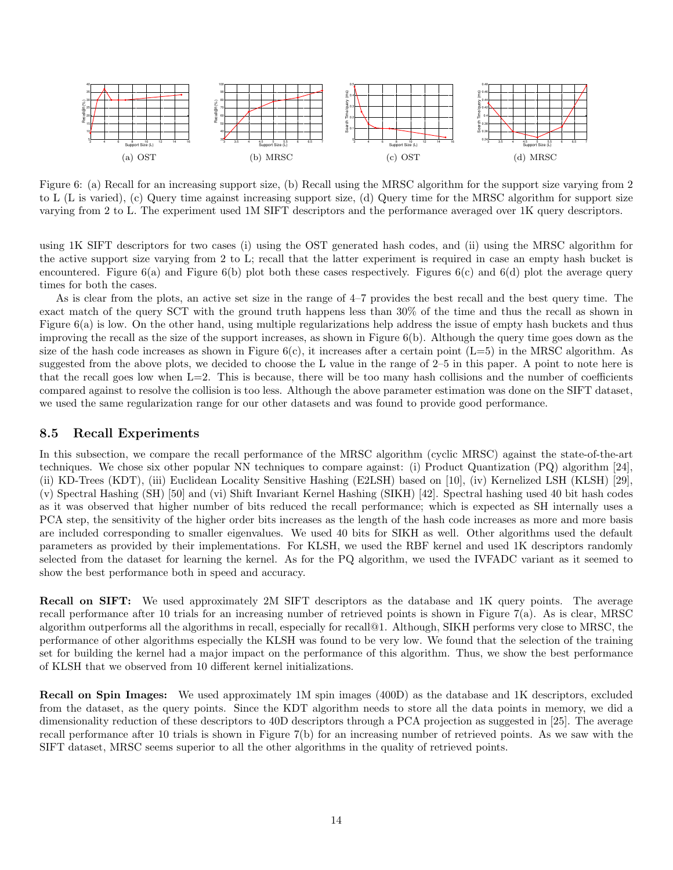

Figure 6: (a) Recall for an increasing support size, (b) Recall using the MRSC algorithm for the support size varying from 2 to L (L is varied), (c) Query time against increasing support size, (d) Query time for the MRSC algorithm for support size varying from 2 to L. The experiment used 1M SIFT descriptors and the performance averaged over 1K query descriptors.

using 1K SIFT descriptors for two cases (i) using the OST generated hash codes, and (ii) using the MRSC algorithm for the active support size varying from 2 to L; recall that the latter experiment is required in case an empty hash bucket is encountered. Figure  $6(a)$  and Figure  $6(b)$  plot both these cases respectively. Figures  $6(c)$  and  $6(d)$  plot the average query times for both the cases.

As is clear from the plots, an active set size in the range of 4–7 provides the best recall and the best query time. The exact match of the query SCT with the ground truth happens less than 30% of the time and thus the recall as shown in Figure 6(a) is low. On the other hand, using multiple regularizations help address the issue of empty hash buckets and thus improving the recall as the size of the support increases, as shown in Figure 6(b). Although the query time goes down as the size of the hash code increases as shown in Figure  $6(c)$ , it increases after a certain point  $(L=5)$  in the MRSC algorithm. As suggested from the above plots, we decided to choose the L value in the range of 2–5 in this paper. A point to note here is that the recall goes low when  $L=2$ . This is because, there will be too many hash collisions and the number of coefficients compared against to resolve the collision is too less. Although the above parameter estimation was done on the SIFT dataset, we used the same regularization range for our other datasets and was found to provide good performance.

### 8.5 Recall Experiments

In this subsection, we compare the recall performance of the MRSC algorithm (cyclic MRSC) against the state-of-the-art techniques. We chose six other popular NN techniques to compare against: (i) Product Quantization (PQ) algorithm [24], (ii) KD-Trees (KDT), (iii) Euclidean Locality Sensitive Hashing (E2LSH) based on [10], (iv) Kernelized LSH (KLSH) [29], (v) Spectral Hashing (SH) [50] and (vi) Shift Invariant Kernel Hashing (SIKH) [42]. Spectral hashing used 40 bit hash codes as it was observed that higher number of bits reduced the recall performance; which is expected as SH internally uses a PCA step, the sensitivity of the higher order bits increases as the length of the hash code increases as more and more basis are included corresponding to smaller eigenvalues. We used 40 bits for SIKH as well. Other algorithms used the default parameters as provided by their implementations. For KLSH, we used the RBF kernel and used 1K descriptors randomly selected from the dataset for learning the kernel. As for the PQ algorithm, we used the IVFADC variant as it seemed to show the best performance both in speed and accuracy.

Recall on SIFT: We used approximately 2M SIFT descriptors as the database and 1K query points. The average recall performance after 10 trials for an increasing number of retrieved points is shown in Figure 7(a). As is clear, MRSC algorithm outperforms all the algorithms in recall, especially for recall@1. Although, SIKH performs very close to MRSC, the performance of other algorithms especially the KLSH was found to be very low. We found that the selection of the training set for building the kernel had a major impact on the performance of this algorithm. Thus, we show the best performance of KLSH that we observed from 10 different kernel initializations.

Recall on Spin Images: We used approximately 1M spin images (400D) as the database and 1K descriptors, excluded from the dataset, as the query points. Since the KDT algorithm needs to store all the data points in memory, we did a dimensionality reduction of these descriptors to 40D descriptors through a PCA projection as suggested in [25]. The average recall performance after 10 trials is shown in Figure 7(b) for an increasing number of retrieved points. As we saw with the SIFT dataset, MRSC seems superior to all the other algorithms in the quality of retrieved points.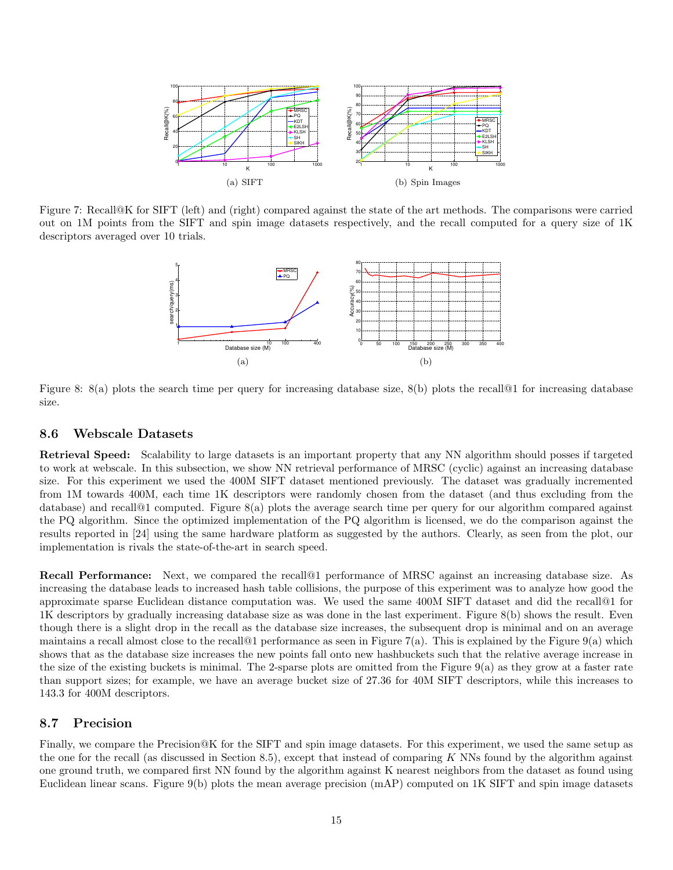

Figure 7: Recall@K for SIFT (left) and (right) compared against the state of the art methods. The comparisons were carried out on 1M points from the SIFT and spin image datasets respectively, and the recall computed for a query size of 1K descriptors averaged over 10 trials.



Figure 8: 8(a) plots the search time per query for increasing database size, 8(b) plots the recall@1 for increasing database size.

#### 8.6 Webscale Datasets

Retrieval Speed: Scalability to large datasets is an important property that any NN algorithm should posses if targeted to work at webscale. In this subsection, we show NN retrieval performance of MRSC (cyclic) against an increasing database size. For this experiment we used the 400M SIFT dataset mentioned previously. The dataset was gradually incremented from 1M towards 400M, each time 1K descriptors were randomly chosen from the dataset (and thus excluding from the database) and recall@1 computed. Figure 8(a) plots the average search time per query for our algorithm compared against the PQ algorithm. Since the optimized implementation of the PQ algorithm is licensed, we do the comparison against the results reported in [24] using the same hardware platform as suggested by the authors. Clearly, as seen from the plot, our implementation is rivals the state-of-the-art in search speed.

Recall Performance: Next, we compared the recall@1 performance of MRSC against an increasing database size. As increasing the database leads to increased hash table collisions, the purpose of this experiment was to analyze how good the approximate sparse Euclidean distance computation was. We used the same 400M SIFT dataset and did the recall@1 for 1K descriptors by gradually increasing database size as was done in the last experiment. Figure 8(b) shows the result. Even though there is a slight drop in the recall as the database size increases, the subsequent drop is minimal and on an average maintains a recall almost close to the recall<sup>[0]</sup> performance as seen in Figure 7(a). This is explained by the Figure 9(a) which shows that as the database size increases the new points fall onto new hashbuckets such that the relative average increase in the size of the existing buckets is minimal. The 2-sparse plots are omitted from the Figure  $9(a)$  as they grow at a faster rate than support sizes; for example, we have an average bucket size of 27.36 for 40M SIFT descriptors, while this increases to 143.3 for 400M descriptors.

#### 8.7 Precision

Finally, we compare the Precision@K for the SIFT and spin image datasets. For this experiment, we used the same setup as the one for the recall (as discussed in Section 8.5), except that instead of comparing K NNs found by the algorithm against one ground truth, we compared first NN found by the algorithm against K nearest neighbors from the dataset as found using Euclidean linear scans. Figure 9(b) plots the mean average precision (mAP) computed on 1K SIFT and spin image datasets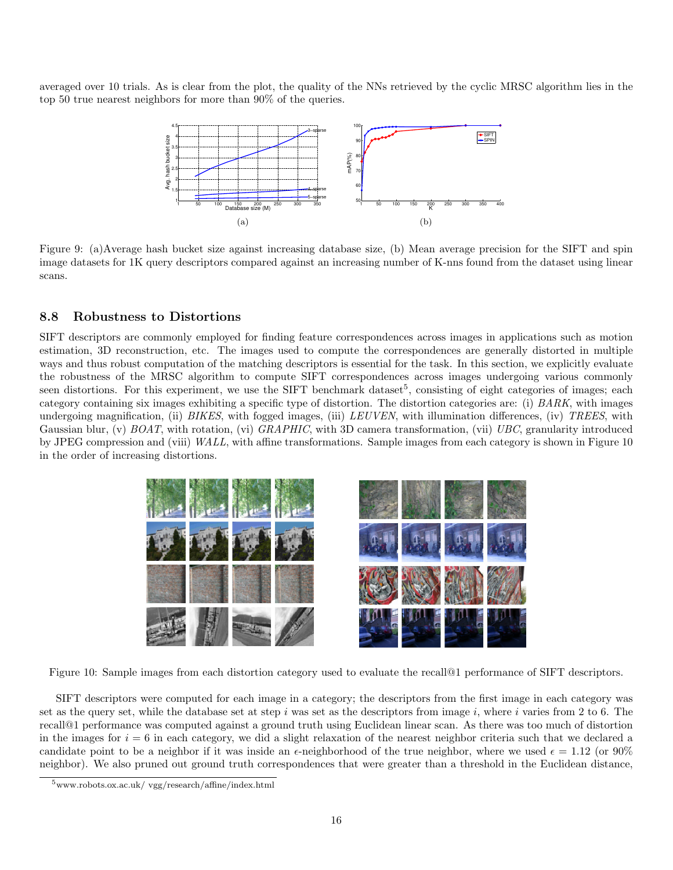averaged over 10 trials. As is clear from the plot, the quality of the NNs retrieved by the cyclic MRSC algorithm lies in the top 50 true nearest neighbors for more than 90% of the queries.



Figure 9: (a)Average hash bucket size against increasing database size, (b) Mean average precision for the SIFT and spin image datasets for 1K query descriptors compared against an increasing number of K-nns found from the dataset using linear scans.

## 8.8 Robustness to Distortions

SIFT descriptors are commonly employed for finding feature correspondences across images in applications such as motion estimation, 3D reconstruction, etc. The images used to compute the correspondences are generally distorted in multiple ways and thus robust computation of the matching descriptors is essential for the task. In this section, we explicitly evaluate the robustness of the MRSC algorithm to compute SIFT correspondences across images undergoing various commonly seen distortions. For this experiment, we use the SIFT benchmark dataset<sup>5</sup>, consisting of eight categories of images; each category containing six images exhibiting a specific type of distortion. The distortion categories are: (i) *BARK*, with images undergoing magnification, (ii) *BIKES*, with fogged images, (iii) *LEUVEN*, with illumination differences, (iv) *TREES*, with Gaussian blur, (v) *BOAT*, with rotation, (vi) *GRAPHIC*, with 3D camera transformation, (vii) *UBC*, granularity introduced by JPEG compression and (viii) *WALL*, with affine transformations. Sample images from each category is shown in Figure 10 in the order of increasing distortions.



Figure 10: Sample images from each distortion category used to evaluate the recall@1 performance of SIFT descriptors.

SIFT descriptors were computed for each image in a category; the descriptors from the first image in each category was set as the query set, while the database set at step i was set as the descriptors from image i, where i varies from 2 to 6. The recall@1 performance was computed against a ground truth using Euclidean linear scan. As there was too much of distortion in the images for  $i = 6$  in each category, we did a slight relaxation of the nearest neighbor criteria such that we declared a candidate point to be a neighbor if it was inside an  $\epsilon$ -neighborhood of the true neighbor, where we used  $\epsilon = 1.12$  (or 90%) neighbor). We also pruned out ground truth correspondences that were greater than a threshold in the Euclidean distance,

<sup>5</sup>www.robots.ox.ac.uk/ vgg/research/affine/index.html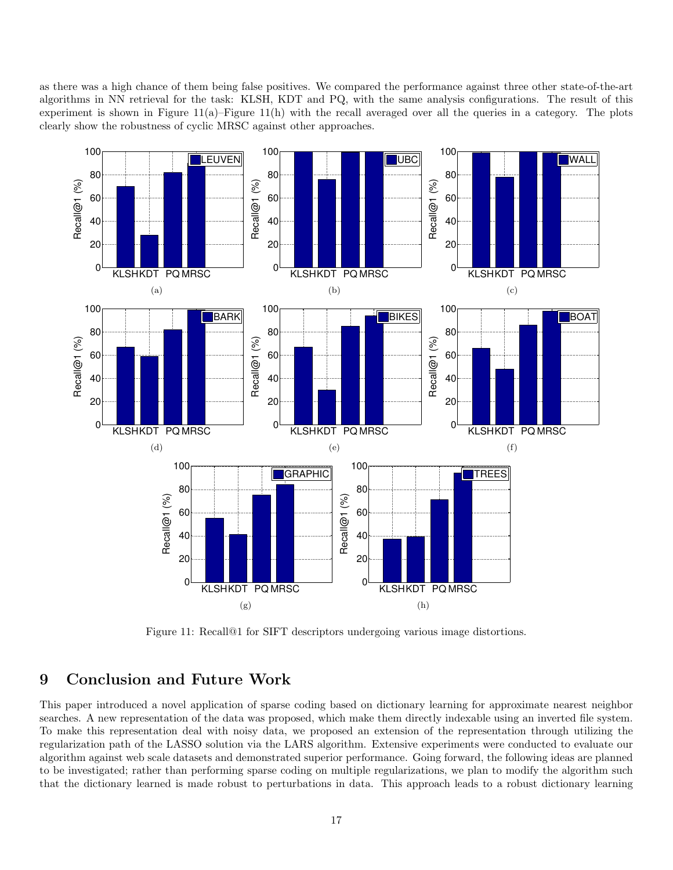as there was a high chance of them being false positives. We compared the performance against three other state-of-the-art algorithms in NN retrieval for the task: KLSH, KDT and PQ, with the same analysis configurations. The result of this experiment is shown in Figure  $11(a)$ –Figure  $11(h)$  with the recall averaged over all the queries in a category. The plots clearly show the robustness of cyclic MRSC against other approaches.



Figure 11: Recall@1 for SIFT descriptors undergoing various image distortions.

## 9 Conclusion and Future Work

This paper introduced a novel application of sparse coding based on dictionary learning for approximate nearest neighbor searches. A new representation of the data was proposed, which make them directly indexable using an inverted file system. To make this representation deal with noisy data, we proposed an extension of the representation through utilizing the regularization path of the LASSO solution via the LARS algorithm. Extensive experiments were conducted to evaluate our algorithm against web scale datasets and demonstrated superior performance. Going forward, the following ideas are planned to be investigated; rather than performing sparse coding on multiple regularizations, we plan to modify the algorithm such that the dictionary learned is made robust to perturbations in data. This approach leads to a robust dictionary learning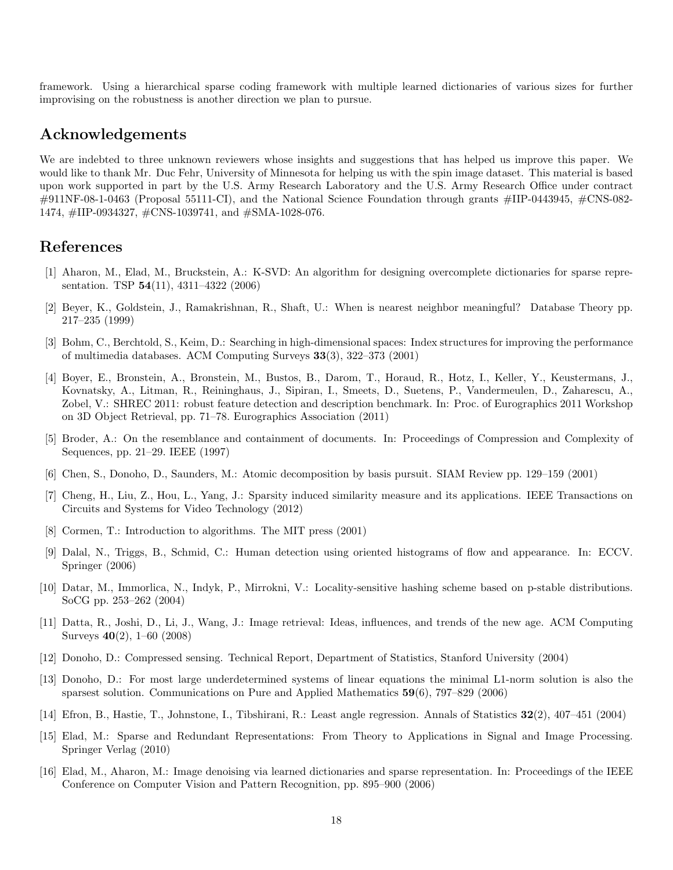framework. Using a hierarchical sparse coding framework with multiple learned dictionaries of various sizes for further improvising on the robustness is another direction we plan to pursue.

## Acknowledgements

We are indebted to three unknown reviewers whose insights and suggestions that has helped us improve this paper. We would like to thank Mr. Duc Fehr, University of Minnesota for helping us with the spin image dataset. This material is based upon work supported in part by the U.S. Army Research Laboratory and the U.S. Army Research Office under contract  $\#911$ NF-08-1-0463 (Proposal 55111-CI), and the National Science Foundation through grants  $\#III$ -0443945,  $\#CN$ S-082-1474, #IIP-0934327, #CNS-1039741, and #SMA-1028-076.

## References

- [1] Aharon, M., Elad, M., Bruckstein, A.: K-SVD: An algorithm for designing overcomplete dictionaries for sparse representation. TSP 54(11), 4311–4322 (2006)
- [2] Beyer, K., Goldstein, J., Ramakrishnan, R., Shaft, U.: When is nearest neighbor meaningful? Database Theory pp. 217–235 (1999)
- [3] Bohm, C., Berchtold, S., Keim, D.: Searching in high-dimensional spaces: Index structures for improving the performance of multimedia databases. ACM Computing Surveys 33(3), 322–373 (2001)
- [4] Boyer, E., Bronstein, A., Bronstein, M., Bustos, B., Darom, T., Horaud, R., Hotz, I., Keller, Y., Keustermans, J., Kovnatsky, A., Litman, R., Reininghaus, J., Sipiran, I., Smeets, D., Suetens, P., Vandermeulen, D., Zaharescu, A., Zobel, V.: SHREC 2011: robust feature detection and description benchmark. In: Proc. of Eurographics 2011 Workshop on 3D Object Retrieval, pp. 71–78. Eurographics Association (2011)
- [5] Broder, A.: On the resemblance and containment of documents. In: Proceedings of Compression and Complexity of Sequences, pp. 21–29. IEEE (1997)
- [6] Chen, S., Donoho, D., Saunders, M.: Atomic decomposition by basis pursuit. SIAM Review pp. 129–159 (2001)
- [7] Cheng, H., Liu, Z., Hou, L., Yang, J.: Sparsity induced similarity measure and its applications. IEEE Transactions on Circuits and Systems for Video Technology (2012)
- [8] Cormen, T.: Introduction to algorithms. The MIT press (2001)
- [9] Dalal, N., Triggs, B., Schmid, C.: Human detection using oriented histograms of flow and appearance. In: ECCV. Springer (2006)
- [10] Datar, M., Immorlica, N., Indyk, P., Mirrokni, V.: Locality-sensitive hashing scheme based on p-stable distributions. SoCG pp. 253–262 (2004)
- [11] Datta, R., Joshi, D., Li, J., Wang, J.: Image retrieval: Ideas, influences, and trends of the new age. ACM Computing Surveys 40(2), 1–60 (2008)
- [12] Donoho, D.: Compressed sensing. Technical Report, Department of Statistics, Stanford University (2004)
- [13] Donoho, D.: For most large underdetermined systems of linear equations the minimal L1-norm solution is also the sparsest solution. Communications on Pure and Applied Mathematics 59(6), 797–829 (2006)
- [14] Efron, B., Hastie, T., Johnstone, I., Tibshirani, R.: Least angle regression. Annals of Statistics 32(2), 407–451 (2004)
- [15] Elad, M.: Sparse and Redundant Representations: From Theory to Applications in Signal and Image Processing. Springer Verlag (2010)
- [16] Elad, M., Aharon, M.: Image denoising via learned dictionaries and sparse representation. In: Proceedings of the IEEE Conference on Computer Vision and Pattern Recognition, pp. 895–900 (2006)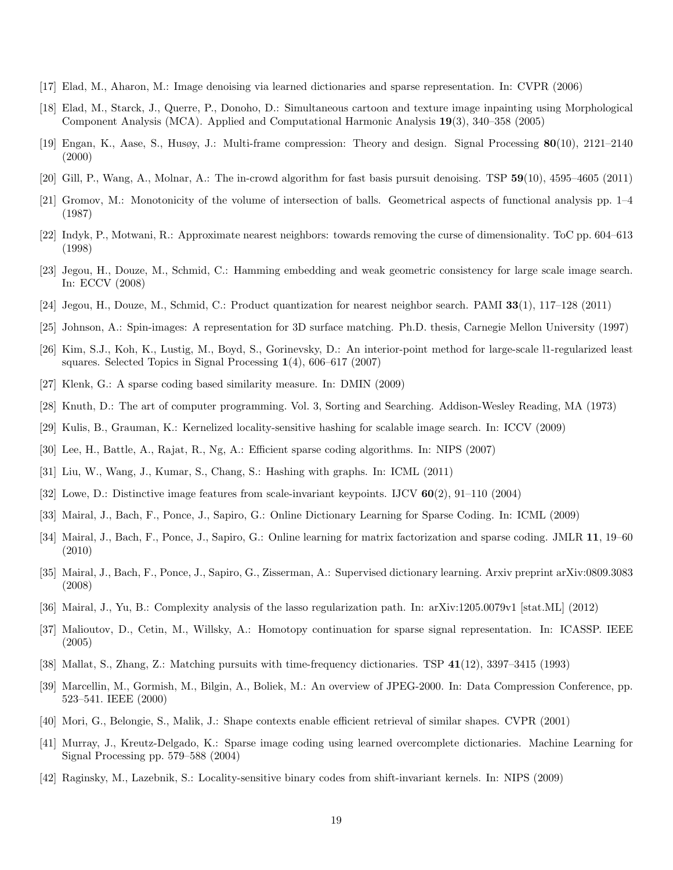- [17] Elad, M., Aharon, M.: Image denoising via learned dictionaries and sparse representation. In: CVPR (2006)
- [18] Elad, M., Starck, J., Querre, P., Donoho, D.: Simultaneous cartoon and texture image inpainting using Morphological Component Analysis (MCA). Applied and Computational Harmonic Analysis 19(3), 340–358 (2005)
- [19] Engan, K., Aase, S., Husøy, J.: Multi-frame compression: Theory and design. Signal Processing 80(10), 2121–2140 (2000)
- [20] Gill, P., Wang, A., Molnar, A.: The in-crowd algorithm for fast basis pursuit denoising. TSP 59(10), 4595–4605 (2011)
- [21] Gromov, M.: Monotonicity of the volume of intersection of balls. Geometrical aspects of functional analysis pp. 1–4 (1987)
- [22] Indyk, P., Motwani, R.: Approximate nearest neighbors: towards removing the curse of dimensionality. ToC pp. 604–613 (1998)
- [23] Jegou, H., Douze, M., Schmid, C.: Hamming embedding and weak geometric consistency for large scale image search. In: ECCV (2008)
- [24] Jegou, H., Douze, M., Schmid, C.: Product quantization for nearest neighbor search. PAMI 33(1), 117–128 (2011)
- [25] Johnson, A.: Spin-images: A representation for 3D surface matching. Ph.D. thesis, Carnegie Mellon University (1997)
- [26] Kim, S.J., Koh, K., Lustig, M., Boyd, S., Gorinevsky, D.: An interior-point method for large-scale l1-regularized least squares. Selected Topics in Signal Processing 1(4), 606–617 (2007)
- [27] Klenk, G.: A sparse coding based similarity measure. In: DMIN (2009)
- [28] Knuth, D.: The art of computer programming. Vol. 3, Sorting and Searching. Addison-Wesley Reading, MA (1973)
- [29] Kulis, B., Grauman, K.: Kernelized locality-sensitive hashing for scalable image search. In: ICCV (2009)
- [30] Lee, H., Battle, A., Rajat, R., Ng, A.: Efficient sparse coding algorithms. In: NIPS (2007)
- [31] Liu, W., Wang, J., Kumar, S., Chang, S.: Hashing with graphs. In: ICML (2011)
- [32] Lowe, D.: Distinctive image features from scale-invariant keypoints. IJCV 60(2), 91–110 (2004)
- [33] Mairal, J., Bach, F., Ponce, J., Sapiro, G.: Online Dictionary Learning for Sparse Coding. In: ICML (2009)
- [34] Mairal, J., Bach, F., Ponce, J., Sapiro, G.: Online learning for matrix factorization and sparse coding. JMLR 11, 19–60 (2010)
- [35] Mairal, J., Bach, F., Ponce, J., Sapiro, G., Zisserman, A.: Supervised dictionary learning. Arxiv preprint arXiv:0809.3083 (2008)
- [36] Mairal, J., Yu, B.: Complexity analysis of the lasso regularization path. In: arXiv:1205.0079v1 [stat.ML] (2012)
- [37] Malioutov, D., Cetin, M., Willsky, A.: Homotopy continuation for sparse signal representation. In: ICASSP. IEEE (2005)
- [38] Mallat, S., Zhang, Z.: Matching pursuits with time-frequency dictionaries. TSP 41(12), 3397–3415 (1993)
- [39] Marcellin, M., Gormish, M., Bilgin, A., Boliek, M.: An overview of JPEG-2000. In: Data Compression Conference, pp. 523–541. IEEE (2000)
- [40] Mori, G., Belongie, S., Malik, J.: Shape contexts enable efficient retrieval of similar shapes. CVPR (2001)
- [41] Murray, J., Kreutz-Delgado, K.: Sparse image coding using learned overcomplete dictionaries. Machine Learning for Signal Processing pp. 579–588 (2004)
- [42] Raginsky, M., Lazebnik, S.: Locality-sensitive binary codes from shift-invariant kernels. In: NIPS (2009)